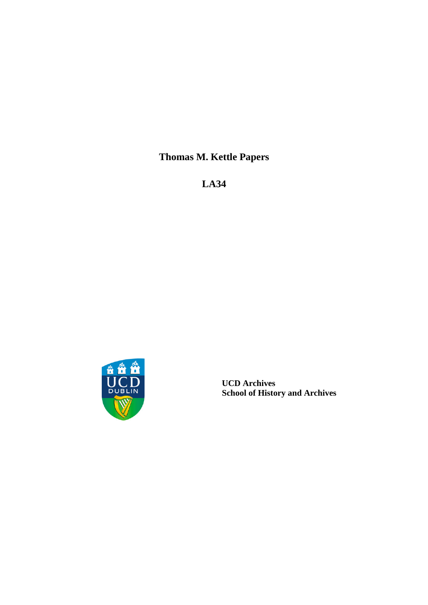**Thomas M. Kettle Papers**

**LA34**



**UCD Archives School of History and Archives**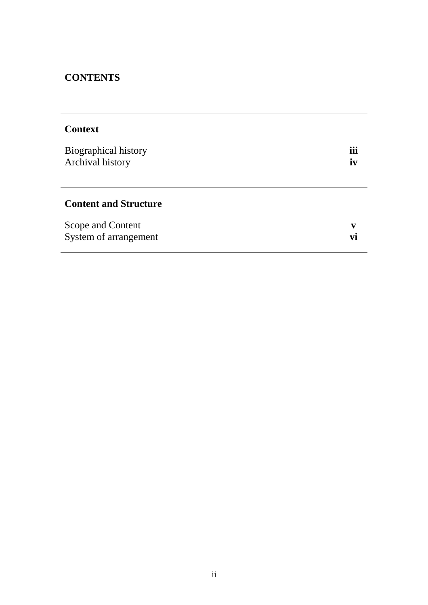# **CONTENTS**

| <b>Context</b>                             |                       |
|--------------------------------------------|-----------------------|
| Biographical history<br>Archival history   | $\cdots$<br>ĨĨĨ<br>iv |
| <b>Content and Structure</b>               |                       |
| Scope and Content<br>System of arrangement | V                     |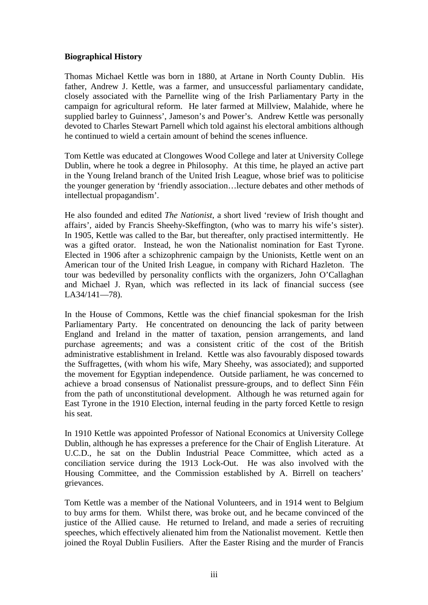#### **Biographical History**

Thomas Michael Kettle was born in 1880, at Artane in North County Dublin. His father, Andrew J. Kettle, was a farmer, and unsuccessful parliamentary candidate, closely associated with the Parnellite wing of the Irish Parliamentary Party in the campaign for agricultural reform. He later farmed at Millview, Malahide, where he supplied barley to Guinness', Jameson's and Power's. Andrew Kettle was personally devoted to Charles Stewart Parnell which told against his electoral ambitions although he continued to wield a certain amount of behind the scenes influence.

Tom Kettle was educated at Clongowes Wood College and later at University College Dublin, where he took a degree in Philosophy. At this time, he played an active part in the Young Ireland branch of the United Irish League, whose brief was to politicise the younger generation by 'friendly association…lecture debates and other methods of intellectual propagandism'.

He also founded and edited *The Nationist*, a short lived 'review of Irish thought and affairs', aided by Francis Sheehy-Skeffington, (who was to marry his wife's sister). In 1905, Kettle was called to the Bar, but thereafter, only practised intermittently. He was a gifted orator. Instead, he won the Nationalist nomination for East Tyrone. Elected in 1906 after a schizophrenic campaign by the Unionists, Kettle went on an American tour of the United Irish League, in company with Richard Hazleton. The tour was bedevilled by personality conflicts with the organizers, John O'Callaghan and Michael J. Ryan, which was reflected in its lack of financial success (see LA34/141—78).

In the House of Commons, Kettle was the chief financial spokesman for the Irish Parliamentary Party. He concentrated on denouncing the lack of parity between England and Ireland in the matter of taxation, pension arrangements, and land purchase agreements; and was a consistent critic of the cost of the British administrative establishment in Ireland. Kettle was also favourably disposed towards the Suffragettes, (with whom his wife, Mary Sheehy, was associated); and supported the movement for Egyptian independence. Outside parliament, he was concerned to achieve a broad consensus of Nationalist pressure-groups, and to deflect Sinn Féin from the path of unconstitutional development. Although he was returned again for East Tyrone in the 1910 Election, internal feuding in the party forced Kettle to resign his seat.

In 1910 Kettle was appointed Professor of National Economics at University College Dublin, although he has expresses a preference for the Chair of English Literature. At U.C.D., he sat on the Dublin Industrial Peace Committee, which acted as a conciliation service during the 1913 Lock-Out. He was also involved with the Housing Committee, and the Commission established by A. Birrell on teachers' grievances.

Tom Kettle was a member of the National Volunteers, and in 1914 went to Belgium to buy arms for them. Whilst there, was broke out, and he became convinced of the justice of the Allied cause. He returned to Ireland, and made a series of recruiting speeches, which effectively alienated him from the Nationalist movement. Kettle then joined the Royal Dublin Fusiliers. After the Easter Rising and the murder of Francis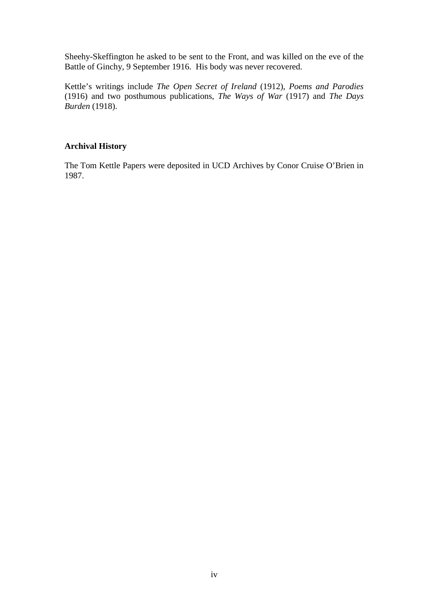Sheehy-Skeffington he asked to be sent to the Front, and was killed on the eve of the Battle of Ginchy, 9 September 1916. His body was never recovered.

Kettle's writings include *The Open Secret of Ireland* (1912), *Poems and Parodies* (1916) and two posthumous publications, *The Ways of War* (1917) and *The Days Burden* (1918).

### **Archival History**

The Tom Kettle Papers were deposited in UCD Archives by Conor Cruise O'Brien in 1987.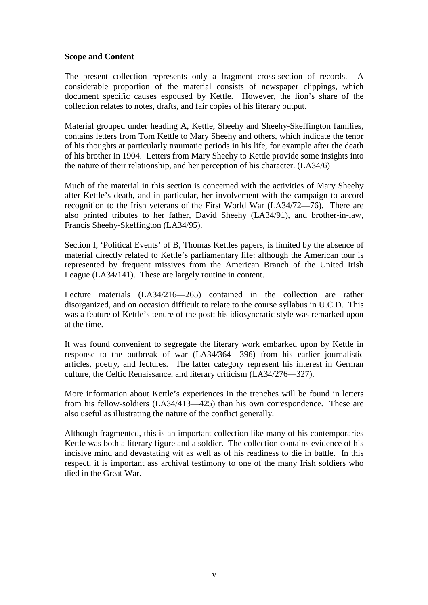#### **Scope and Content**

The present collection represents only a fragment cross-section of records. considerable proportion of the material consists of newspaper clippings, which document specific causes espoused by Kettle. However, the lion's share of the collection relates to notes, drafts, and fair copies of his literary output.

Material grouped under heading A, Kettle, Sheehy and Sheehy-Skeffington families, contains letters from Tom Kettle to Mary Sheehy and others, which indicate the tenor of his thoughts at particularly traumatic periods in his life, for example after the death of his brother in 1904. Letters from Mary Sheehy to Kettle provide some insights into the nature of their relationship, and her perception of his character. (LA34/6)

Much of the material in this section is concerned with the activities of Mary Sheehy after Kettle's death, and in particular, her involvement with the campaign to accord recognition to the Irish veterans of the First World War (LA34/72—76). There are also printed tributes to her father, David Sheehy (LA34/91), and brother-in-law, Francis Sheehy-Skeffington (LA34/95).

Section I, 'Political Events' of B, Thomas Kettles papers, is limited by the absence of material directly related to Kettle's parliamentary life: although the American tour is represented by frequent missives from the American Branch of the United Irish League (LA34/141). These are largely routine in content.

Lecture materials (LA34/216—265) contained in the collection are rather disorganized, and on occasion difficult to relate to the course syllabus in U.C.D. This was a feature of Kettle's tenure of the post: his idiosyncratic style was remarked upon at the time.

It was found convenient to segregate the literary work embarked upon by Kettle in response to the outbreak of war (LA34/364—396) from his earlier journalistic articles, poetry, and lectures. The latter category represent his interest in German culture, the Celtic Renaissance, and literary criticism (LA34/276—327).

More information about Kettle's experiences in the trenches will be found in letters from his fellow-soldiers (LA34/413—425) than his own correspondence. These are also useful as illustrating the nature of the conflict generally.

Although fragmented, this is an important collection like many of his contemporaries Kettle was both a literary figure and a soldier. The collection contains evidence of his incisive mind and devastating wit as well as of his readiness to die in battle. In this respect, it is important ass archival testimony to one of the many Irish soldiers who died in the Great War.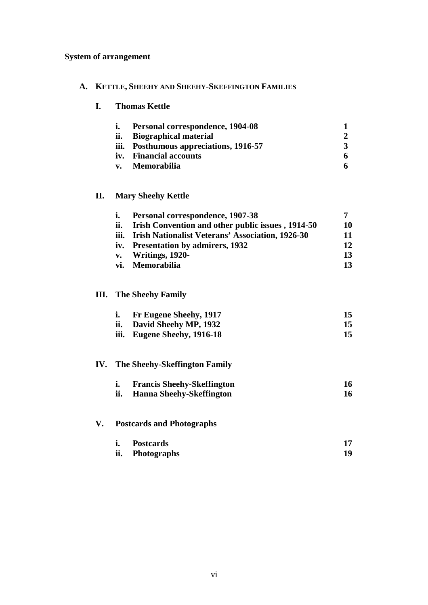## **System of arrangement**

### **A. KETTLE, SHEEHY AND SHEEHY-SKEFFINGTON FAMILIES**

#### **I. Thomas Kettle**

| i. | Personal correspondence, 1904-08       |  |
|----|----------------------------------------|--|
|    | ii. Biographical material              |  |
|    | iii. Posthumous appreciations, 1916-57 |  |
|    | iv. Financial accounts                 |  |
|    | v. Memorabilia                         |  |

### **II. Mary Sheehy Kettle**

| i.  | Personal correspondence, 1907-38                         |    |
|-----|----------------------------------------------------------|----|
| ii. | <b>Irish Convention and other public issues, 1914-50</b> | 10 |
|     | iii. Irish Nationalist Veterans' Association, 1926-30    | 11 |
|     | iv. Presentation by admirers, 1932                       | 12 |
|     | v. Writings, 1920-                                       | 13 |
|     | vi. Memorabilia                                          | 13 |

#### **III. The Sheehy Family**

| i. Fr Eugene Sheehy, 1917   |  |
|-----------------------------|--|
| ii. David Sheehy MP, 1932   |  |
| iii. Eugene Sheehy, 1916-18 |  |

### **IV. The Sheehy-Skeffington Family**

|     | <b>Francis Sheehy-Skeffington</b> |  |
|-----|-----------------------------------|--|
| ii. | <b>Hanna Sheehy-Skeffington</b>   |  |

### **V. Postcards and Photographs**

| <b>Postcards</b> |  |
|------------------|--|
| ii. Photographs  |  |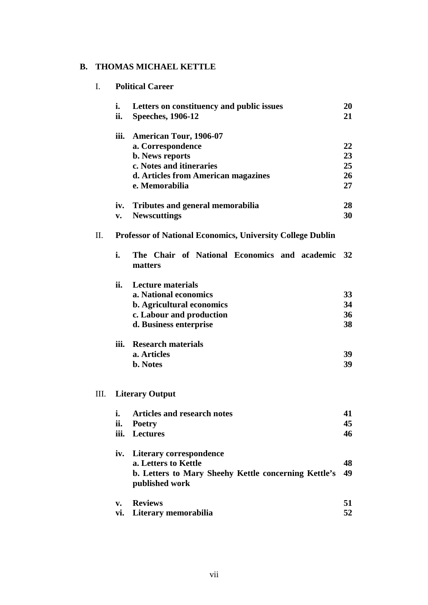### **B. THOMAS MICHAEL KETTLE**

| I. |               | <b>Political Career</b>                                                      |          |  |  |
|----|---------------|------------------------------------------------------------------------------|----------|--|--|
|    | i.<br>ii.     | Letters on constituency and public issues<br><b>Speeches</b> , 1906-12       | 20<br>21 |  |  |
|    | iii.          | <b>American Tour, 1906-07</b><br>a. Correspondence                           | 22       |  |  |
|    |               | <b>b.</b> News reports                                                       | 23       |  |  |
|    |               | c. Notes and itineraries                                                     | 25       |  |  |
|    |               | d. Articles from American magazines                                          | 26       |  |  |
|    |               | e. Memorabilia                                                               | 27       |  |  |
|    | iv.           | <b>Tributes and general memorabilia</b>                                      | 28       |  |  |
|    | $V_{\bullet}$ | <b>Newscuttings</b>                                                          | 30       |  |  |
| П. |               | <b>Professor of National Economics, University College Dublin</b>            |          |  |  |
|    | i.            | The Chair of National Economics and academic<br>matters                      | 32       |  |  |
|    | ii.           | <b>Lecture materials</b>                                                     |          |  |  |
|    |               | a. National economics                                                        | 33       |  |  |
|    |               | b. Agricultural economics                                                    | 34<br>36 |  |  |
|    |               | c. Labour and production<br>d. Business enterprise                           | 38       |  |  |
|    |               |                                                                              |          |  |  |
|    | iii.          | <b>Research materials</b>                                                    |          |  |  |
|    |               | a. Articles                                                                  | 39       |  |  |
|    |               | b. Notes                                                                     | 39       |  |  |
| Ш. |               | <b>Literary Output</b>                                                       |          |  |  |
|    | i.            | <b>Articles and research notes</b>                                           | 41       |  |  |
|    | ii.           | Poetry                                                                       | 45       |  |  |
|    | iii.          | <b>Lectures</b>                                                              | 46       |  |  |
|    | iv.           | Literary correspondence                                                      |          |  |  |
|    |               | a. Letters to Kettle<br>b. Letters to Mary Sheehy Kettle concerning Kettle's | 48<br>49 |  |  |
|    |               | published work                                                               |          |  |  |
|    | v.            | <b>Reviews</b>                                                               | 51       |  |  |
|    | vi.           | Literary memorabilia                                                         | 52       |  |  |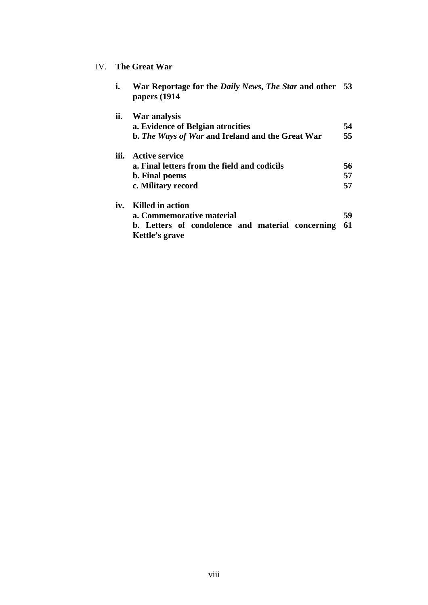### IV. **The Great War**

| i.   | War Reportage for the <i>Daily News</i> , <i>The Star</i> and other 53<br>papers (1914 |    |
|------|----------------------------------------------------------------------------------------|----|
| ii.  | War analysis                                                                           |    |
|      | a. Evidence of Belgian atrocities                                                      | 54 |
|      | b. The Ways of War and Ireland and the Great War                                       | 55 |
| iii. | <b>Active service</b>                                                                  |    |
|      | a. Final letters from the field and codicils                                           | 56 |
|      | b. Final poems                                                                         | 57 |
|      | c. Military record                                                                     | 57 |
| iv.  | Killed in action                                                                       |    |
|      | a. Commemorative material                                                              | 59 |
|      | b. Letters of condolence and material concerning<br>Kettle's grave                     | 61 |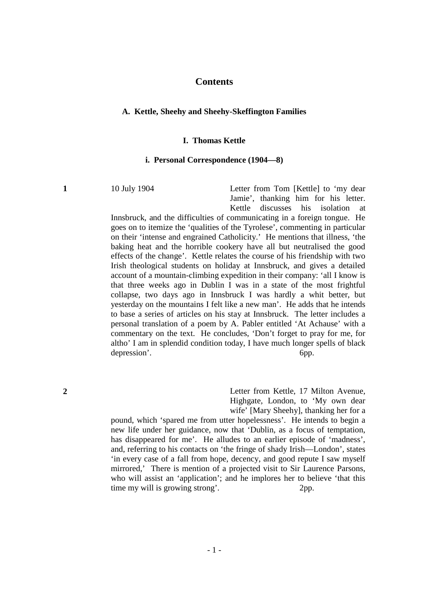#### **Contents**

#### **A. Kettle, Sheehy and Sheehy-Skeffington Families**

#### **I. Thomas Kettle**

#### **i. Personal Correspondence (1904—8)**

**1** 10 July 1904 Letter from Tom [Kettle] to 'my dear Jamie', thanking him for his letter. Kettle discusses his isolation at

> Innsbruck, and the difficulties of communicating in a foreign tongue. He goes on to itemize the 'qualities of the Tyrolese', commenting in particular on their 'intense and engrained Catholicity.' He mentions that illness, 'the baking heat and the horrible cookery have all but neutralised the good effects of the change'. Kettle relates the course of his friendship with two Irish theological students on holiday at Innsbruck, and gives a detailed account of a mountain-climbing expedition in their company: 'all I know is that three weeks ago in Dublin I was in a state of the most frightful collapse, two days ago in Innsbruck I was hardly a whit better, but yesterday on the mountains I felt like a new man'. He adds that he intends to base a series of articles on his stay at Innsbruck. The letter includes a personal translation of a poem by A. Pabler entitled 'At Achause' with a commentary on the text. He concludes, 'Don't forget to pray for me, for altho' I am in splendid condition today, I have much longer spells of black depression'. 6pp.

**2** Letter from Kettle, 17 Milton Avenue, Highgate, London, to 'My own dear wife' [Mary Sheehy], thanking her for a

pound, which 'spared me from utter hopelessness'. He intends to begin a new life under her guidance, now that 'Dublin, as a focus of temptation, has disappeared for me'. He alludes to an earlier episode of 'madness', and, referring to his contacts on 'the fringe of shady Irish—London', states 'in every case of a fall from hope, decency, and good repute I saw myself mirrored,' There is mention of a projected visit to Sir Laurence Parsons, who will assist an 'application'; and he implores her to believe 'that this time my will is growing strong'. 2pp.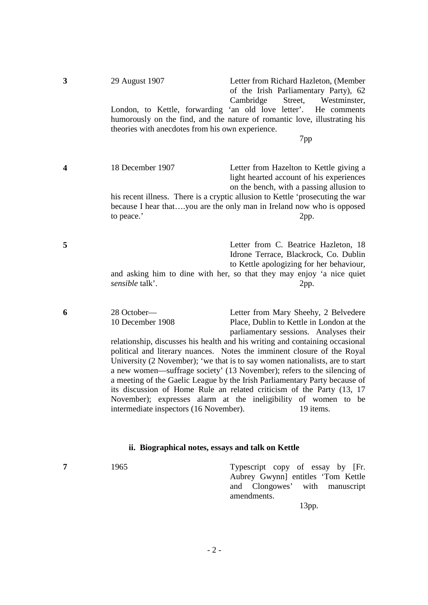| 3                | 29 August 1907<br>London, to Kettle, forwarding 'an old love letter'.<br>theories with anecdotes from his own experience. | Letter from Richard Hazleton, (Member<br>of the Irish Parliamentary Party), 62<br>Street,<br>Cambridge<br>Westminster,<br>He comments<br>humorously on the find, and the nature of romantic love, illustrating his<br>7pp                                                                                                                                                                                                                                                                                                                                                                                                                                                              |
|------------------|---------------------------------------------------------------------------------------------------------------------------|----------------------------------------------------------------------------------------------------------------------------------------------------------------------------------------------------------------------------------------------------------------------------------------------------------------------------------------------------------------------------------------------------------------------------------------------------------------------------------------------------------------------------------------------------------------------------------------------------------------------------------------------------------------------------------------|
| $\boldsymbol{4}$ | 18 December 1907<br>to peace.'                                                                                            | Letter from Hazelton to Kettle giving a<br>light hearted account of his experiences<br>on the bench, with a passing allusion to<br>his recent illness. There is a cryptic allusion to Kettle 'prosecuting the war<br>because I hear thatyou are the only man in Ireland now who is opposed<br>2pp.                                                                                                                                                                                                                                                                                                                                                                                     |
| 5                | sensible talk'.                                                                                                           | Letter from C. Beatrice Hazleton, 18<br>Idrone Terrace, Blackrock, Co. Dublin<br>to Kettle apologizing for her behaviour,<br>and asking him to dine with her, so that they may enjoy 'a nice quiet<br>2pp.                                                                                                                                                                                                                                                                                                                                                                                                                                                                             |
| 6                | 28 October-<br>10 December 1908<br>intermediate inspectors (16 November).                                                 | Letter from Mary Sheehy, 2 Belvedere<br>Place, Dublin to Kettle in London at the<br>parliamentary sessions. Analyses their<br>relationship, discusses his health and his writing and containing occasional<br>political and literary nuances. Notes the imminent closure of the Royal<br>University (2 November); 'we that is to say women nationalists, are to start<br>a new women—suffrage society' (13 November); refers to the silencing of<br>a meeting of the Gaelic League by the Irish Parliamentary Party because of<br>its discussion of Home Rule an related criticism of the Party (13, 17<br>November); expresses alarm at the ineligibility of women to be<br>19 items. |

### **ii. Biographical notes, essays and talk on Kettle**

**7** 1965 Typescript copy of essay by [Fr. Aubrey Gwynn] entitles 'Tom Kettle and Clongowes' with manuscript amendments.

13pp.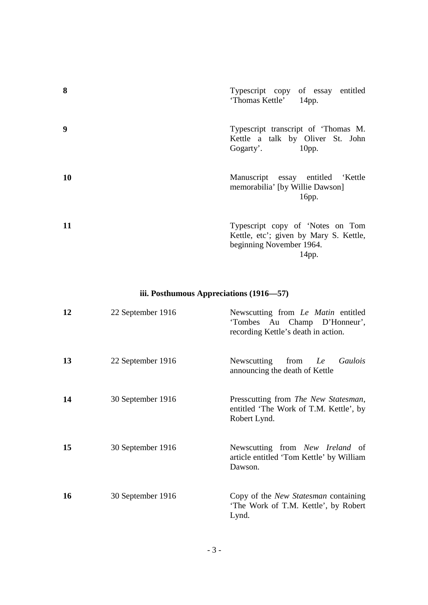| 8  | Typescript copy of essay entitled<br>'Thomas Kettle' 14pp.                                                      |
|----|-----------------------------------------------------------------------------------------------------------------|
| 9  | Typescript transcript of 'Thomas M.<br>Kettle a talk by Oliver St. John<br>Gogarty'. 10pp.                      |
| 10 | Manuscript essay entitled 'Kettle<br>memorabilia' [by Willie Dawson]<br>16pp.                                   |
| 11 | Typescript copy of 'Notes on Tom<br>Kettle, etc'; given by Mary S. Kettle,<br>beginning November 1964.<br>14pp. |

### **iii. Posthumous Appreciations (1916—57)**

| 12 | 22 September 1916 | Newscutting from Le Matin entitled<br>'Tombes Au Champ D'Honneur',<br>recording Kettle's death in action. |
|----|-------------------|-----------------------------------------------------------------------------------------------------------|
| 13 | 22 September 1916 | Newscutting<br>from<br>Le Gaulois<br>announcing the death of Kettle                                       |
| 14 | 30 September 1916 | Presscutting from The New Statesman,<br>entitled 'The Work of T.M. Kettle', by<br>Robert Lynd.            |
| 15 | 30 September 1916 | Newscutting from New Ireland of<br>article entitled 'Tom Kettle' by William<br>Dawson.                    |
| 16 | 30 September 1916 | Copy of the <i>New Statesman</i> containing<br>'The Work of T.M. Kettle', by Robert<br>Lynd.              |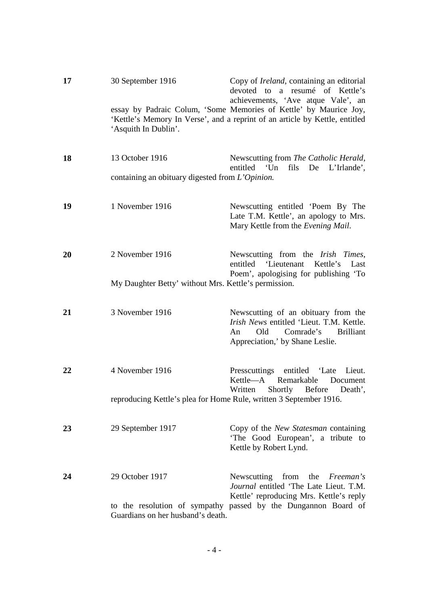| 17 | 30 September 1916                                                  | Copy of <i>Ireland</i> , containing an editorial<br>devoted to a resumé of Kettle's<br>achievements, 'Ave atque Vale', an                                        |
|----|--------------------------------------------------------------------|------------------------------------------------------------------------------------------------------------------------------------------------------------------|
|    | 'Asquith In Dublin'.                                               | essay by Padraic Colum, 'Some Memories of Kettle' by Maurice Joy,<br>'Kettle's Memory In Verse', and a reprint of an article by Kettle, entitled                 |
| 18 | 13 October 1916                                                    | Newscutting from The Catholic Herald,<br>entitled 'Un fils De L'Irlande',                                                                                        |
|    | containing an obituary digested from L'Opinion.                    |                                                                                                                                                                  |
| 19 | 1 November 1916                                                    | Newscutting entitled 'Poem By The<br>Late T.M. Kettle', an apology to Mrs.<br>Mary Kettle from the Evening Mail.                                                 |
| 20 | 2 November 1916                                                    | Newscutting from the Irish Times,<br>'Lieutenant Kettle's<br>entitled<br>Last<br>Poem', apologising for publishing 'To                                           |
|    | My Daughter Betty' without Mrs. Kettle's permission.               |                                                                                                                                                                  |
|    |                                                                    |                                                                                                                                                                  |
| 21 | 3 November 1916                                                    | Newscutting of an obituary from the<br>Irish News entitled 'Lieut. T.M. Kettle.<br>Comrade's<br><b>Brilliant</b><br>Old<br>An<br>Appreciation,' by Shane Leslie. |
| 22 | 4 November 1916                                                    | Presscuttings entitled 'Late Lieut.<br>Kettle-A Remarkable<br>Document<br>Shortly Before Death',<br>Written                                                      |
|    | reproducing Kettle's plea for Home Rule, written 3 September 1916. |                                                                                                                                                                  |
| 23 | 29 September 1917                                                  | Copy of the New Statesman containing<br>'The Good European', a tribute to<br>Kettle by Robert Lynd.                                                              |
| 24 | 29 October 1917                                                    | Newscutting from the Freeman's<br>Journal entitled 'The Late Lieut. T.M.<br>Kettle' reproducing Mrs. Kettle's reply                                              |
|    | Guardians on her husband's death.                                  | to the resolution of sympathy passed by the Dungannon Board of                                                                                                   |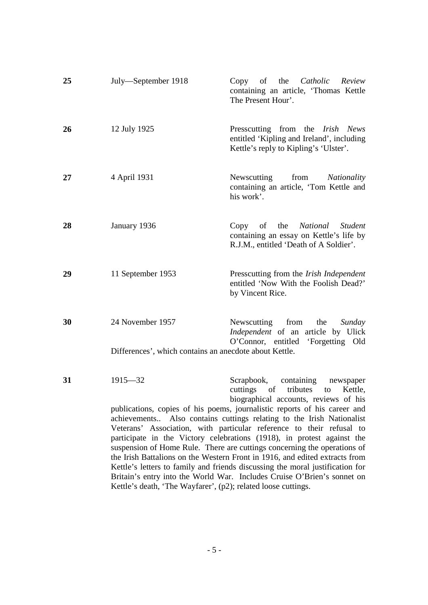| 25 | July-September 1918                                                        | Copy of the <i>Catholic Review</i><br>containing an article, 'Thomas Kettle<br>The Present Hour'.                                                                                                                                                                                                                                                                                                                                                                                                                                                                                                                                                                                                                                   |
|----|----------------------------------------------------------------------------|-------------------------------------------------------------------------------------------------------------------------------------------------------------------------------------------------------------------------------------------------------------------------------------------------------------------------------------------------------------------------------------------------------------------------------------------------------------------------------------------------------------------------------------------------------------------------------------------------------------------------------------------------------------------------------------------------------------------------------------|
| 26 | 12 July 1925                                                               | Presscutting from the <i>Irish News</i><br>entitled 'Kipling and Ireland', including<br>Kettle's reply to Kipling's 'Ulster'.                                                                                                                                                                                                                                                                                                                                                                                                                                                                                                                                                                                                       |
| 27 | 4 April 1931                                                               | Newscutting<br>from<br>Nationality<br>containing an article, 'Tom Kettle and<br>his work'.                                                                                                                                                                                                                                                                                                                                                                                                                                                                                                                                                                                                                                          |
| 28 | January 1936                                                               | Copy of the National Student<br>containing an essay on Kettle's life by<br>R.J.M., entitled 'Death of A Soldier'.                                                                                                                                                                                                                                                                                                                                                                                                                                                                                                                                                                                                                   |
| 29 | 11 September 1953                                                          | Presscutting from the Irish Independent<br>entitled 'Now With the Foolish Dead?'<br>by Vincent Rice.                                                                                                                                                                                                                                                                                                                                                                                                                                                                                                                                                                                                                                |
| 30 | 24 November 1957<br>Differences', which contains an anecdote about Kettle. | Newscutting from<br>the<br>Sunday<br>Independent of an article by Ulick<br>O'Connor, entitled 'Forgetting Old                                                                                                                                                                                                                                                                                                                                                                                                                                                                                                                                                                                                                       |
| 31 | $1915 - 32$<br>achievements                                                | Scrapbook, containing newspaper<br>cuttings of tributes<br>to<br>Kettle,<br>biographical accounts, reviews of his<br>publications, copies of his poems, journalistic reports of his career and<br>Also contains cuttings relating to the Irish Nationalist<br>Veterans' Association, with particular reference to their refusal to<br>participate in the Victory celebrations (1918), in protest against the<br>suspension of Home Rule. There are cuttings concerning the operations of<br>the Irish Battalions on the Western Front in 1916, and edited extracts from<br>Kettle's letters to family and friends discussing the moral justification for<br>Britain's entry into the World War. Includes Cruise O'Brien's sonnet on |
|    | Kettle's death, 'The Wayfarer', (p2); related loose cuttings.              |                                                                                                                                                                                                                                                                                                                                                                                                                                                                                                                                                                                                                                                                                                                                     |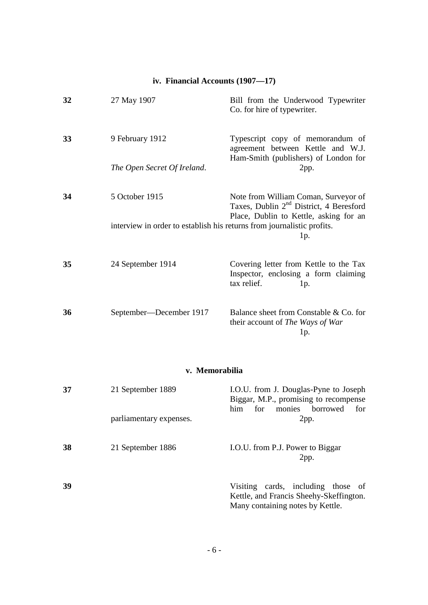### **iv. Financial Accounts (1907—17)**

| 32 | 27 May 1907                                                            | Bill from the Underwood Typewriter<br>Co. for hire of typewriter.                                                                     |
|----|------------------------------------------------------------------------|---------------------------------------------------------------------------------------------------------------------------------------|
| 33 | 9 February 1912                                                        | Typescript copy of memorandum of<br>agreement between Kettle and W.J.<br>Ham-Smith (publishers) of London for                         |
|    | The Open Secret Of Ireland.                                            | 2pp.                                                                                                                                  |
| 34 | 5 October 1915                                                         | Note from William Coman, Surveyor of<br>Taxes, Dublin 2 <sup>nd</sup> District, 4 Beresford<br>Place, Dublin to Kettle, asking for an |
|    | interview in order to establish his returns from journalistic profits. | 1p.                                                                                                                                   |
| 35 | 24 September 1914                                                      | Covering letter from Kettle to the Tax<br>Inspector, enclosing a form claiming<br>tax relief.<br>1p.                                  |
| 36 | September—December 1917                                                | Balance sheet from Constable & Co. for<br>their account of The Ways of War<br>1p.                                                     |

### **v. Memorabilia**

| 37 | 21 September 1889       | I.O.U. from J. Douglas-Pyne to Joseph<br>Biggar, M.P., promising to recompense<br><b>borrowed</b><br>him<br>for<br>monies<br>for |
|----|-------------------------|----------------------------------------------------------------------------------------------------------------------------------|
|    | parliamentary expenses. | 2pp.                                                                                                                             |
| 38 | 21 September 1886       | I.O.U. from P.J. Power to Biggar<br>2pp.                                                                                         |
| 39 |                         | cards, including those of<br>Visiting<br>Kettle, and Francis Sheehy-Skeffington.<br>Many containing notes by Kettle.             |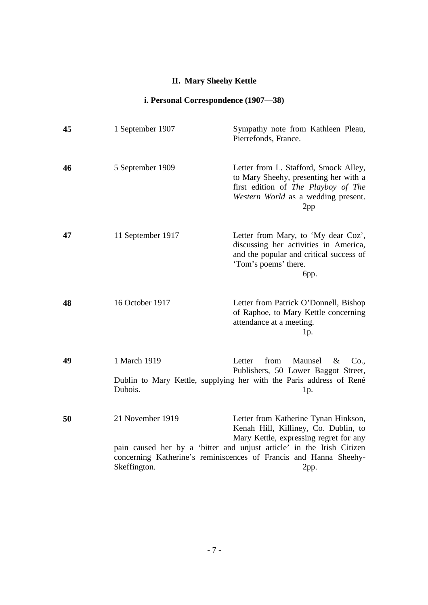## **II. Mary Sheehy Kettle**

## **i. Personal Correspondence (1907—38)**

| 45 | 1 September 1907                 | Sympathy note from Kathleen Pleau,<br>Pierrefonds, France.                                                                                                                                                                                                                   |
|----|----------------------------------|------------------------------------------------------------------------------------------------------------------------------------------------------------------------------------------------------------------------------------------------------------------------------|
| 46 | 5 September 1909                 | Letter from L. Stafford, Smock Alley,<br>to Mary Sheehy, presenting her with a<br>first edition of The Playboy of The<br>Western World as a wedding present.<br>2pp                                                                                                          |
| 47 | 11 September 1917                | Letter from Mary, to 'My dear Coz',<br>discussing her activities in America,<br>and the popular and critical success of<br>'Tom's poems' there.<br>бpр.                                                                                                                      |
| 48 | 16 October 1917                  | Letter from Patrick O'Donnell, Bishop<br>of Raphoe, to Mary Kettle concerning<br>attendance at a meeting.<br>1p.                                                                                                                                                             |
| 49 | 1 March 1919<br>Dubois.          | from<br>Maunsel<br>$\&$<br>Letter<br>Co.<br>Publishers, 50 Lower Baggot Street,<br>Dublin to Mary Kettle, supplying her with the Paris address of René<br>1p.                                                                                                                |
| 50 | 21 November 1919<br>Skeffington. | Letter from Katherine Tynan Hinkson,<br>Kenah Hill, Killiney, Co. Dublin, to<br>Mary Kettle, expressing regret for any<br>pain caused her by a 'bitter and unjust article' in the Irish Citizen<br>concerning Katherine's reminiscences of Francis and Hanna Sheehy-<br>2pp. |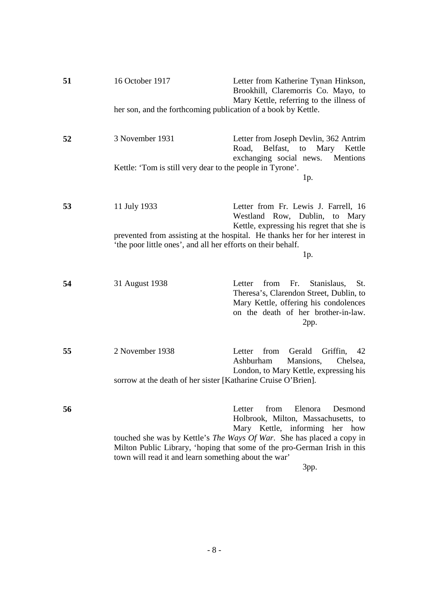| 51 | 16 October 1917                                               | Letter from Katherine Tynan Hinkson,<br>Brookhill, Claremorris Co. Mayo, to<br>Mary Kettle, referring to the illness of                                                                                                                                                    |
|----|---------------------------------------------------------------|----------------------------------------------------------------------------------------------------------------------------------------------------------------------------------------------------------------------------------------------------------------------------|
|    | her son, and the forthcoming publication of a book by Kettle. |                                                                                                                                                                                                                                                                            |
| 52 | 3 November 1931                                               | Letter from Joseph Devlin, 362 Antrim<br>Road,<br>Belfast,<br>Mary<br>to<br>Kettle<br>exchanging social news. Mentions                                                                                                                                                     |
|    | Kettle: 'Tom is still very dear to the people in Tyrone'.     | 1p.                                                                                                                                                                                                                                                                        |
| 53 | 11 July 1933                                                  | Letter from Fr. Lewis J. Farrell, 16<br>Westland Row, Dublin, to Mary<br>Kettle, expressing his regret that she is                                                                                                                                                         |
|    | 'the poor little ones', and all her efforts on their behalf.  | prevented from assisting at the hospital. He thanks her for her interest in<br>$1p$ .                                                                                                                                                                                      |
| 54 | 31 August 1938                                                | from Fr.<br>Stanislaus,<br>St.<br>Letter<br>Theresa's, Clarendon Street, Dublin, to<br>Mary Kettle, offering his condolences<br>on the death of her brother-in-law.<br>2pp.                                                                                                |
| 55 | 2 November 1938                                               | Gerald<br>from<br>Griffin,<br>Letter<br>42<br>Mansions,<br>Ashburham<br>Chelsea,<br>London, to Mary Kettle, expressing his                                                                                                                                                 |
|    | sorrow at the death of her sister [Katharine Cruise O'Brien]. |                                                                                                                                                                                                                                                                            |
| 56 | town will read it and learn something about the war'          | from<br>Elenora<br>Letter<br>Desmond<br>Holbrook, Milton, Massachusetts, to<br>Mary Kettle, informing her how<br>touched she was by Kettle's <i>The Ways Of War</i> . She has placed a copy in<br>Milton Public Library, 'hoping that some of the pro-German Irish in this |
|    |                                                               | 3pp.                                                                                                                                                                                                                                                                       |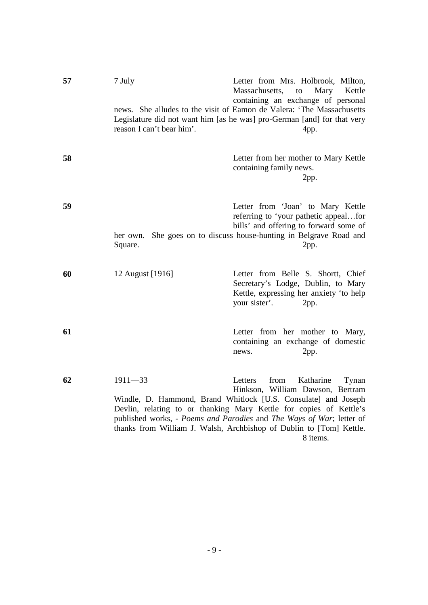| 57 | 7 July<br>reason I can't bear him'. | Letter from Mrs. Holbrook, Milton,<br>Massachusetts,<br>to<br>Mary Kettle<br>containing an exchange of personal<br>news. She alludes to the visit of Eamon de Valera: 'The Massachusetts<br>Legislature did not want him [as he was] pro-German [and] for that very<br>4pp.                                                                                                  |
|----|-------------------------------------|------------------------------------------------------------------------------------------------------------------------------------------------------------------------------------------------------------------------------------------------------------------------------------------------------------------------------------------------------------------------------|
| 58 |                                     | Letter from her mother to Mary Kettle<br>containing family news.<br>2pp.                                                                                                                                                                                                                                                                                                     |
| 59 | Square.                             | Letter from 'Joan' to Mary Kettle<br>referring to 'your pathetic appealfor<br>bills' and offering to forward some of<br>her own. She goes on to discuss house-hunting in Belgrave Road and<br>2pp.                                                                                                                                                                           |
| 60 | 12 August [1916]                    | Letter from Belle S. Shortt, Chief<br>Secretary's Lodge, Dublin, to Mary<br>Kettle, expressing her anxiety 'to help<br>your sister'.<br>2pp.                                                                                                                                                                                                                                 |
| 61 |                                     | Letter from her mother to Mary,<br>containing an exchange of domestic<br>2pp.<br>news.                                                                                                                                                                                                                                                                                       |
| 62 | $1911 - 33$                         | Letters<br>from<br>Katharine<br>Tynan<br>Hinkson, William Dawson, Bertram<br>Windle, D. Hammond, Brand Whitlock [U.S. Consulate] and Joseph<br>Devlin, relating to or thanking Mary Kettle for copies of Kettle's<br>published works, - Poems and Parodies and The Ways of War; letter of<br>thanks from William J. Walsh, Archbishop of Dublin to [Tom] Kettle.<br>8 items. |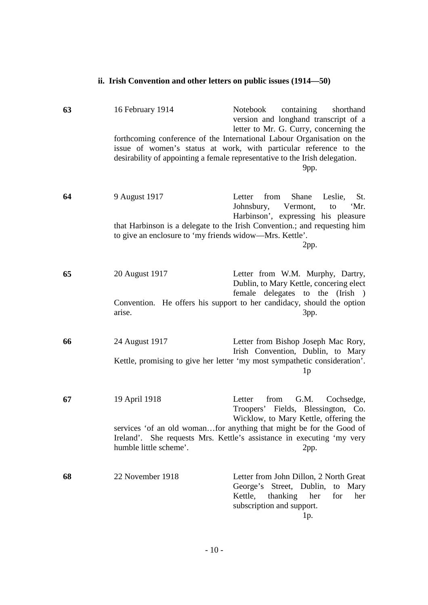| 63 | 16 February 1914                                        | Notebook<br>containing<br>shorthand<br>version and longhand transcript of a<br>letter to Mr. G. Curry, concerning the<br>forthcoming conference of the International Labour Organisation on the |
|----|---------------------------------------------------------|-------------------------------------------------------------------------------------------------------------------------------------------------------------------------------------------------|
|    |                                                         | issue of women's status at work, with particular reference to the<br>desirability of appointing a female representative to the Irish delegation.<br>9pp.                                        |
| 64 | 9 August 1917                                           | Shane<br>Letter<br>from<br>Leslie,<br>St.<br>Vermont,<br>Johnsbury,<br>'Mr.<br>to                                                                                                               |
|    | to give an enclosure to 'my friends widow—Mrs. Kettle'. | Harbinson', expressing his pleasure<br>that Harbinson is a delegate to the Irish Convention.; and requesting him<br>2pp.                                                                        |
| 65 | 20 August 1917                                          | Letter from W.M. Murphy, Dartry,<br>Dublin, to Mary Kettle, concering elect<br>female delegates to the (Irish)                                                                                  |
|    | arise.                                                  | Convention. He offers his support to her candidacy, should the option<br>3pp.                                                                                                                   |
| 66 | 24 August 1917                                          | Letter from Bishop Joseph Mac Rory,<br>Irish Convention, Dublin, to Mary                                                                                                                        |
|    |                                                         | Kettle, promising to give her letter 'my most sympathetic consideration'.<br>1 <sub>p</sub>                                                                                                     |
| 67 | 19 April 1918                                           | G.M.<br>from<br>Cochsedge,<br>Letter<br>Troopers' Fields, Blessington, Co.<br>Wicklow, to Mary Kettle, offering the                                                                             |
|    | humble little scheme'.                                  | services 'of an old womanfor anything that might be for the Good of<br>Ireland'. She requests Mrs. Kettle's assistance in executing 'my very<br>2pp.                                            |
| 68 | 22 November 1918                                        | Letter from John Dillon, 2 North Great<br>George's Street, Dublin, to Mary<br>Kettle,<br>thanking<br>her<br>for<br>her<br>subscription and support.<br>$1p$ .                                   |

**ii. Irish Convention and other letters on public issues (1914—50)**

- 10 -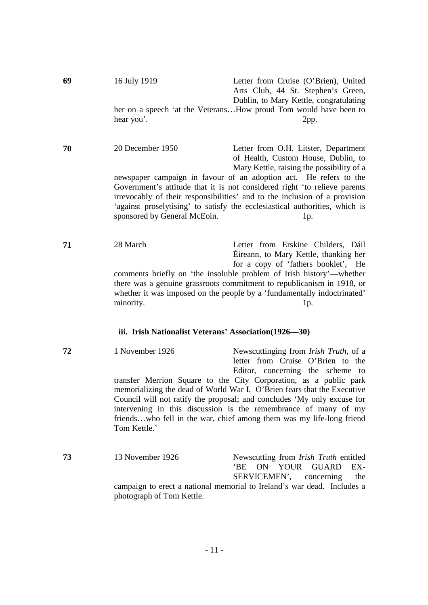| 69 | 16 July 1919 | Letter from Cruise (O'Brien), United                             |
|----|--------------|------------------------------------------------------------------|
|    |              | Arts Club, 44 St. Stephen's Green,                               |
|    |              | Dublin, to Mary Kettle, congratulating                           |
|    |              | her on a speech 'at the VeteransHow proud Tom would have been to |
|    | hear you'.   | 2pp.                                                             |

**70** 20 December 1950 Letter from O.H. Litster, Department of Health, Custom House, Dublin, to Mary Kettle, raising the possibility of a newspaper campaign in favour of an adoption act. He refers to the Government's attitude that it is not considered right 'to relieve parents irrevocably of their responsibilities' and to the inclusion of a provision 'against proselytising' to satisfy the ecclesiastical authorities, which is sponsored by General McEoin. 1p.

**71** 28 March Letter from Erskine Childers, Dáil Éireann, to Mary Kettle, thanking her for a copy of 'fathers booklet', He comments briefly on 'the insoluble problem of Irish history'—whether there was a genuine grassroots commitment to republicanism in 1918, or whether it was imposed on the people by a 'fundamentally indoctrinated' minority. 1p.

#### **iii. Irish Nationalist Veterans' Association(1926—30)**

- **72** 1 November 1926 Newscuttinging from *Irish Truth*, of a letter from Cruise O'Brien to the Editor, concerning the scheme to transfer Merrion Square to the City Corporation, as a public park memorializing the dead of World War I. O'Brien fears that the Executive Council will not ratify the proposal; and concludes 'My only excuse for intervening in this discussion is the remembrance of many of my friends…who fell in the war, chief among them was my life-long friend Tom Kettle.'
- **73** 13 November 1926 Newscutting from *Irish Truth* entitled 'BE ON YOUR GUARD EX-SERVICEMEN', concerning the campaign to erect a national memorial to Ireland's war dead. Includes a photograph of Tom Kettle.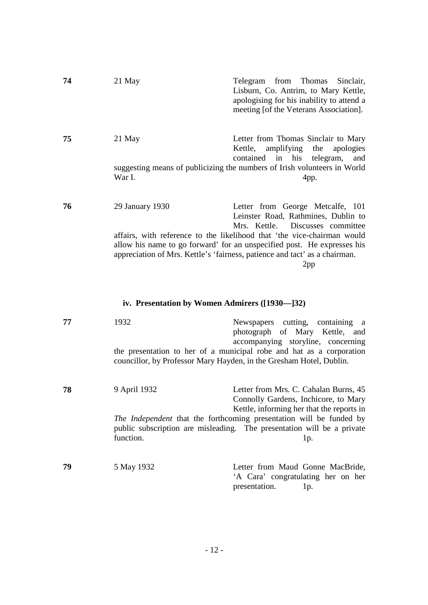| 74 | 21 May                                         | Telegram from Thomas<br>Sinclair,<br>Lisburn, Co. Antrim, to Mary Kettle,<br>apologising for his inability to attend a<br>meeting [of the Veterans Association].                                                                        |
|----|------------------------------------------------|-----------------------------------------------------------------------------------------------------------------------------------------------------------------------------------------------------------------------------------------|
| 75 | 21 May                                         | Letter from Thomas Sinclair to Mary<br>amplifying<br>Kettle,<br>the<br>apologies<br>contained in his telegram,<br>and                                                                                                                   |
|    | War I.                                         | suggesting means of publicizing the numbers of Irish volunteers in World<br>4pp.                                                                                                                                                        |
| 76 | 29 January 1930                                | Letter from George Metcalfe, 101<br>Leinster Road, Rathmines, Dublin to<br>Mrs. Kettle.<br>Discusses committee                                                                                                                          |
|    |                                                | affairs, with reference to the likelihood that 'the vice-chairman would<br>allow his name to go forward' for an unspecified post. He expresses his<br>appreciation of Mrs. Kettle's 'fairness, patience and tact' as a chairman.<br>2pp |
|    | iv. Presentation by Women Admirers ([1930-]32) |                                                                                                                                                                                                                                         |
| 77 | 1932                                           | Newspapers cutting, containing a<br>photograph of Mary Kettle, and<br>accompanying storyline, concerning                                                                                                                                |
|    |                                                | the presentation to her of a municipal robe and hat as a corporation<br>councillor, by Professor Mary Hayden, in the Gresham Hotel, Dublin.                                                                                             |

**78** 9 April 1932 Letter from Mrs. C. Cahalan Burns, 45 Connolly Gardens, Inchicore, to Mary Kettle, informing her that the reports in *The Independent* that the forthcoming presentation will be funded by public subscription are misleading. The presentation will be a private function. 1p.

**79** 5 May 1932 Letter from Maud Gonne MacBride, 'A Cara' congratulating her on her presentation. 1p.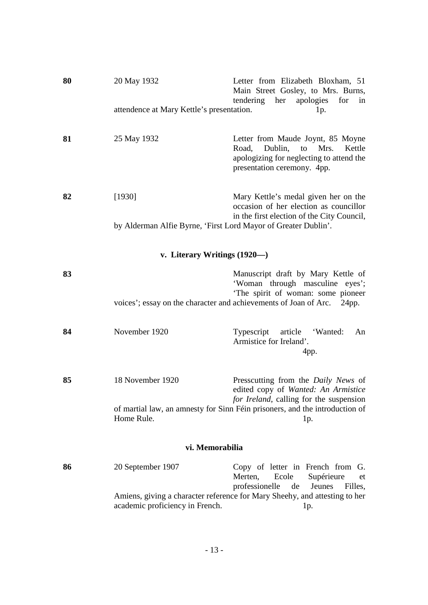| 80 | 20 May 1932                                                    | Letter from Elizabeth Bloxham, 51<br>Main Street Gosley, to Mrs. Burns,<br>tendering her apologies<br>for<br>in                                          |  |  |
|----|----------------------------------------------------------------|----------------------------------------------------------------------------------------------------------------------------------------------------------|--|--|
|    | attendence at Mary Kettle's presentation.                      | 1p.                                                                                                                                                      |  |  |
| 81 | 25 May 1932                                                    | Letter from Maude Joynt, 85 Moyne<br>Dublin,<br>Road,<br>Mrs.<br>Kettle<br>to<br>apologizing for neglecting to attend the<br>presentation ceremony. 4pp. |  |  |
| 82 | [1930]                                                         | Mary Kettle's medal given her on the<br>occasion of her election as councillor<br>in the first election of the City Council,                             |  |  |
|    | by Alderman Alfie Byrne, 'First Lord Mayor of Greater Dublin'. |                                                                                                                                                          |  |  |
|    | v. Literary Writings $(1920)$                                  |                                                                                                                                                          |  |  |
| 83 |                                                                | Manuscript draft by Mary Kettle of<br>'Woman through masculine eyes';<br>'The spirit of woman: some pioneer                                              |  |  |
|    |                                                                | voices'; essay on the character and achievements of Joan of Arc. 24pp.                                                                                   |  |  |
| 84 | November 1920                                                  | Typescript article 'Wanted:<br>An<br>Armistice for Ireland'.<br>4pp.                                                                                     |  |  |
| 85 | 18 November 1920                                               | Presscutting from the <i>Daily News</i> of<br>edited copy of Wanted: An Armistice                                                                        |  |  |
|    | Home Rule.                                                     | for Ireland, calling for the suspension<br>of martial law, an amnesty for Sinn Féin prisoners, and the introduction of<br>1p.                            |  |  |
|    | vi. Memorabilia                                                |                                                                                                                                                          |  |  |
| 86 | 20 September 1907                                              | Copy of letter in French from G.<br>Supérieure<br>Merten,<br>Ecole<br>et<br>professionelle<br>de<br>Jeunes<br>Filles,                                    |  |  |
|    | academic proficiency in French.                                | Amiens, giving a character reference for Mary Sheehy, and attesting to her<br>1p.                                                                        |  |  |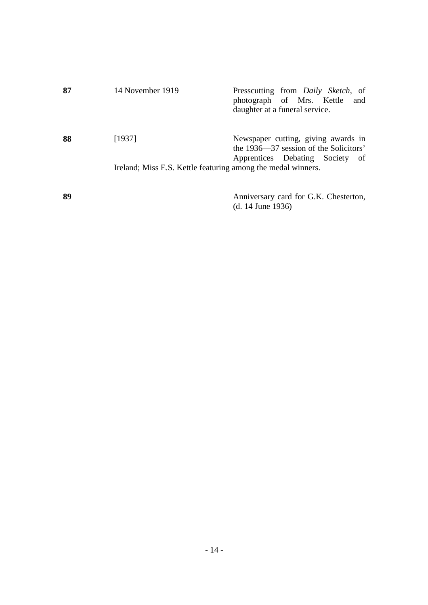| 87 | 14 November 1919                                                       | Presscutting from <i>Daily Sketch</i> , of<br>photograph of Mrs. Kettle and<br>daughter at a funeral service.    |
|----|------------------------------------------------------------------------|------------------------------------------------------------------------------------------------------------------|
| 88 | [1937]<br>Ireland; Miss E.S. Kettle featuring among the medal winners. | Newspaper cutting, giving awards in<br>the 1936—37 session of the Solicitors'<br>Apprentices Debating Society of |
| 89 |                                                                        | Anniversary card for G.K. Chesterton,<br>$(d. 14$ June 1936)                                                     |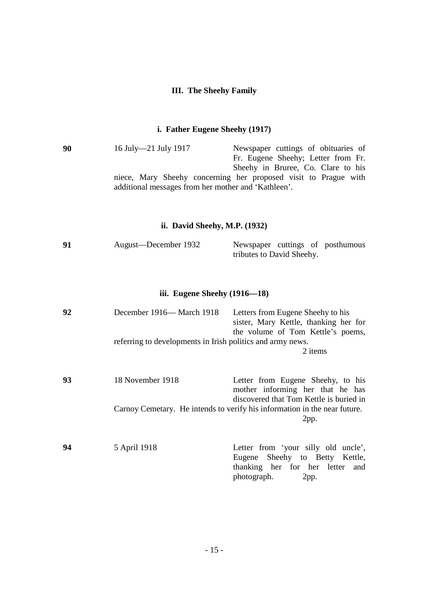### **III. The Sheehy Family**

### **i. Father Eugene Sheehy (1917)**

| 90 | 16 July-21 July 1917                                | Newspaper cuttings of obituaries of                             |
|----|-----------------------------------------------------|-----------------------------------------------------------------|
|    |                                                     | Fr. Eugene Sheehy; Letter from Fr.                              |
|    |                                                     | Sheehy in Bruree, Co. Clare to his                              |
|    | additional messages from her mother and 'Kathleen'. | niece, Mary Sheehy concerning her proposed visit to Prague with |

### **ii. David Sheehy, M.P. (1932)**

| 91 | August—December 1932 |                           |  | Newspaper cuttings of posthumous |
|----|----------------------|---------------------------|--|----------------------------------|
|    |                      | tributes to David Sheehy. |  |                                  |

### **iii. Eugene Sheehy (1916—18)**

| 92 | December 1916— March 1918                                  | Letters from Eugene Sheehy to his<br>sister, Mary Kettle, thanking her for<br>the volume of Tom Kettle's poems,                 |
|----|------------------------------------------------------------|---------------------------------------------------------------------------------------------------------------------------------|
|    | referring to developments in Irish politics and army news. | 2 items                                                                                                                         |
| 93 | 18 November 1918                                           | Letter from Eugene Sheehy, to his<br>mother informing her that he has<br>discovered that Tom Kettle is buried in                |
|    |                                                            | Carnoy Cemetary. He intends to verify his information in the near future.<br>2pp.                                               |
| 94 | 5 April 1918                                               | Letter from 'your silly old uncle',<br>Eugene Sheehy to Betty Kettle,<br>thanking her for her letter and<br>photograph.<br>2pp. |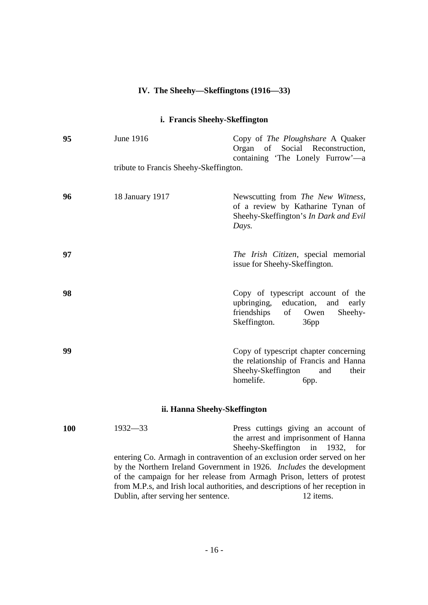# **IV. The Sheehy—Skeffingtons (1916—33)**

### **i. Francis Sheehy-Skeffington**

| 95  | <b>June 1916</b>                       | Copy of The Ploughshare A Quaker<br>Organ of Social Reconstruction,<br>containing 'The Lonely Furrow'—a                                                                                                                                                                                                                                            |
|-----|----------------------------------------|----------------------------------------------------------------------------------------------------------------------------------------------------------------------------------------------------------------------------------------------------------------------------------------------------------------------------------------------------|
|     | tribute to Francis Sheehy-Skeffington. |                                                                                                                                                                                                                                                                                                                                                    |
| 96  | 18 January 1917                        | Newscutting from The New Witness,<br>of a review by Katharine Tynan of<br>Sheehy-Skeffington's In Dark and Evil<br>Days.                                                                                                                                                                                                                           |
| 97  |                                        | The Irish Citizen, special memorial<br>issue for Sheehy-Skeffington.                                                                                                                                                                                                                                                                               |
| 98  |                                        | Copy of typescript account of the<br>education,<br>upbringing,<br>and early<br>friendships<br>of<br>Sheehy-<br>Owen<br>Skeffington.<br>36pp                                                                                                                                                                                                        |
| 99  |                                        | Copy of typescript chapter concerning<br>the relationship of Francis and Hanna<br>Sheehy-Skeffington<br>their<br>and<br>homelife.<br>бpр.                                                                                                                                                                                                          |
|     | ii. Hanna Sheehy-Skeffington           |                                                                                                                                                                                                                                                                                                                                                    |
| 100 | $1932 - 33$                            | Press cuttings giving an account of<br>the arrest and imprisonment of Hanna<br>Sheehy-Skeffington in<br>1932,<br>for<br>entering Co. Armagh in contravention of an exclusion order served on her<br>by the Northern Ireland Government in 1926. Includes the development<br>of the campaign for her release from Armagh Prison, letters of protest |

from M.P.s, and Irish local authorities, and descriptions of her reception in

Dublin, after serving her sentence. 12 items.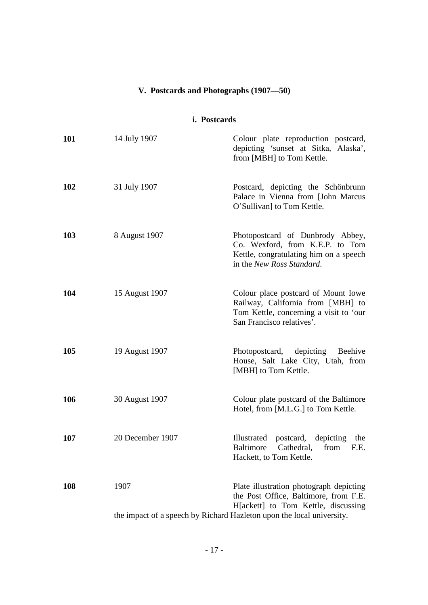## **V. Postcards and Photographs (1907—50)**

### **i. Postcards**

| 101 | 14 July 1907                                                                  | Colour plate reproduction postcard,<br>depicting 'sunset at Sitka, Alaska',<br>from [MBH] to Tom Kettle.                                        |
|-----|-------------------------------------------------------------------------------|-------------------------------------------------------------------------------------------------------------------------------------------------|
| 102 | 31 July 1907                                                                  | Postcard, depicting the Schönbrunn<br>Palace in Vienna from [John Marcus<br>O'Sullivan] to Tom Kettle.                                          |
| 103 | 8 August 1907                                                                 | Photopostcard of Dunbrody Abbey,<br>Co. Wexford, from K.E.P. to Tom<br>Kettle, congratulating him on a speech<br>in the New Ross Standard.      |
| 104 | 15 August 1907                                                                | Colour place postcard of Mount Iowe<br>Railway, California from [MBH] to<br>Tom Kettle, concerning a visit to 'our<br>San Francisco relatives'. |
| 105 | 19 August 1907                                                                | Photopostcard, depicting Beehive<br>House, Salt Lake City, Utah, from<br>[MBH] to Tom Kettle.                                                   |
| 106 | 30 August 1907                                                                | Colour plate postcard of the Baltimore<br>Hotel, from [M.L.G.] to Tom Kettle.                                                                   |
| 107 | 20 December 1907                                                              | Illustrated postcard, depicting the<br><b>Baltimore</b><br>from<br>Cathedral,<br>F.E.<br>Hackett, to Tom Kettle.                                |
| 108 | 1907<br>the impact of a speech by Richard Hazleton upon the local university. | Plate illustration photograph depicting<br>the Post Office, Baltimore, from F.E.<br>H[ackett] to Tom Kettle, discussing                         |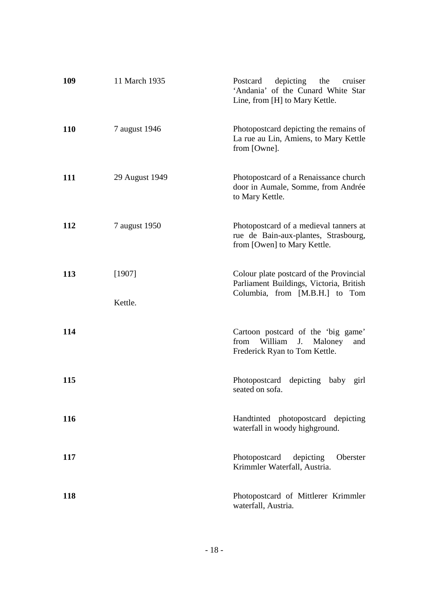| 109        | 11 March 1935     | depicting<br>Postcard<br>the<br>cruiser<br>'Andania' of the Cunard White Star<br>Line, from [H] to Mary Kettle.      |
|------------|-------------------|----------------------------------------------------------------------------------------------------------------------|
| <b>110</b> | 7 august 1946     | Photopostcard depicting the remains of<br>La rue au Lin, Amiens, to Mary Kettle<br>from [Owne].                      |
| 111        | 29 August 1949    | Photopostcard of a Renaissance church<br>door in Aumale, Somme, from Andrée<br>to Mary Kettle.                       |
| 112        | 7 august 1950     | Photopostcard of a medieval tanners at<br>rue de Bain-aux-plantes, Strasbourg,<br>from [Owen] to Mary Kettle.        |
| 113        | [1907]<br>Kettle. | Colour plate postcard of the Provincial<br>Parliament Buildings, Victoria, British<br>Columbia, from [M.B.H.] to Tom |
| 114        |                   | Cartoon postcard of the 'big game'<br>William<br>J.<br>Maloney<br>from<br>and<br>Frederick Ryan to Tom Kettle.       |
| <b>115</b> |                   | Photopostcard<br>depicting baby<br>girl<br>seated on sofa.                                                           |
| 116        |                   | Handtinted photopostcard depicting<br>waterfall in woody highground.                                                 |
| 117        |                   | Photopostcard<br>depicting<br>Oberster<br>Krimmler Waterfall, Austria.                                               |
| <b>118</b> |                   | Photopostcard of Mittlerer Krimmler<br>waterfall, Austria.                                                           |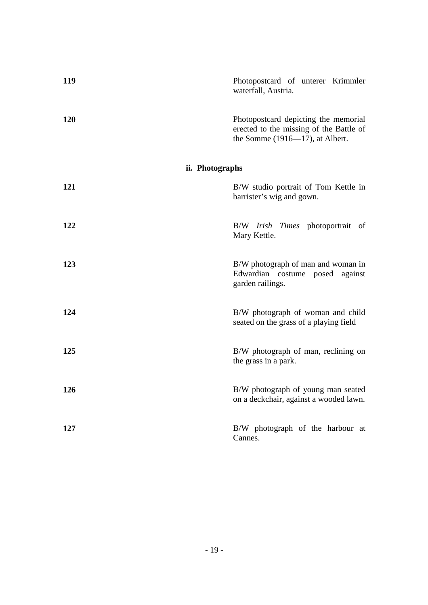| 119             | Photopostcard of unterer Krimmler<br>waterfall, Austria.                                                                |
|-----------------|-------------------------------------------------------------------------------------------------------------------------|
| 120             | Photopostcard depicting the memorial<br>erected to the missing of the Battle of<br>the Somme $(1916 - 17)$ , at Albert. |
| ii. Photographs |                                                                                                                         |
| 121             | B/W studio portrait of Tom Kettle in<br>barrister's wig and gown.                                                       |
| 122             | B/W <i>Irish Times</i> photoportrait of<br>Mary Kettle.                                                                 |
| 123             | B/W photograph of man and woman in<br>Edwardian costume posed against<br>garden railings.                               |
| 124             | B/W photograph of woman and child<br>seated on the grass of a playing field                                             |
| 125             | B/W photograph of man, reclining on<br>the grass in a park.                                                             |
| 126             | B/W photograph of young man seated<br>on a deckchair, against a wooded lawn.                                            |
| 127             | B/W photograph of the harbour at<br>Cannes.                                                                             |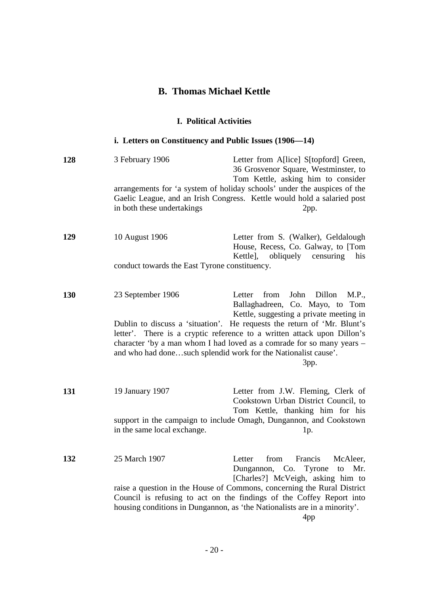## **B. Thomas Michael Kettle**

### **I. Political Activities**

## **i. Letters on Constituency and Public Issues (1906—14)**

| 128 | 3 February 1906<br>in both these undertakings                   | Letter from A[lice] S[topford] Green,<br>36 Grosvenor Square, Westminster, to<br>Tom Kettle, asking him to consider<br>arrangements for 'a system of holiday schools' under the auspices of the<br>Gaelic League, and an Irish Congress. Kettle would hold a salaried post<br>2pp.                                                                                                                                               |
|-----|-----------------------------------------------------------------|----------------------------------------------------------------------------------------------------------------------------------------------------------------------------------------------------------------------------------------------------------------------------------------------------------------------------------------------------------------------------------------------------------------------------------|
| 129 | 10 August 1906<br>conduct towards the East Tyrone constituency. | Letter from S. (Walker), Geldalough<br>House, Recess, Co. Galway, to [Tom<br>obliquely<br>Kettle],<br>censuring<br>his                                                                                                                                                                                                                                                                                                           |
| 130 | 23 September 1906                                               | from<br>John<br>Dillon<br>M.P.,<br>Letter<br>Ballaghadreen, Co. Mayo, to Tom<br>Kettle, suggesting a private meeting in<br>Dublin to discuss a 'situation'. He requests the return of 'Mr. Blunt's<br>letter'. There is a cryptic reference to a written attack upon Dillon's<br>character 'by a man whom I had loved as a comrade for so many years -<br>and who had donesuch splendid work for the Nationalist cause'.<br>3pp. |
| 131 | 19 January 1907<br>in the same local exchange.                  | Letter from J.W. Fleming, Clerk of<br>Cookstown Urban District Council, to<br>Tom Kettle, thanking him for his<br>support in the campaign to include Omagh, Dungannon, and Cookstown<br>1p.                                                                                                                                                                                                                                      |
| 132 | 25 March 1907                                                   | from<br>Francis<br>McAleer,<br>Letter<br>Tyrone<br>Dungannon,<br>Co.<br>to<br>Mr.<br>[Charles?] McVeigh, asking him to<br>raise a question in the House of Commons, concerning the Rural District<br>Council is refusing to act on the findings of the Coffey Report into<br>housing conditions in Dungannon, as 'the Nationalists are in a minority'.<br>4 <sub>pp</sub>                                                        |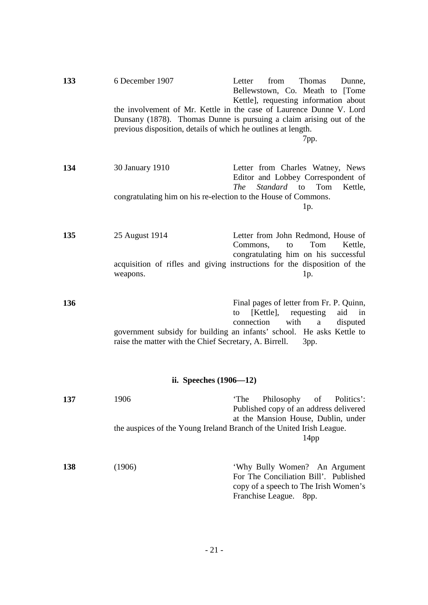| 133 | 6 December 1907                                                      | from<br>Letter<br><b>Thomas</b><br>Dunne,<br>Bellewstown, Co. Meath to [Tome<br>Kettle], requesting information about                                                                                          |
|-----|----------------------------------------------------------------------|----------------------------------------------------------------------------------------------------------------------------------------------------------------------------------------------------------------|
|     | previous disposition, details of which he outlines at length.        | the involvement of Mr. Kettle in the case of Laurence Dunne V. Lord<br>Dunsany (1878). Thomas Dunne is pursuing a claim arising out of the<br>7pp.                                                             |
| 134 | 30 January 1910                                                      | Letter from Charles Watney, News<br>Editor and Lobbey Correspondent of<br>Standard to Tom<br>Kettle,<br><i>The</i>                                                                                             |
|     | congratulating him on his re-election to the House of Commons.       | 1p.                                                                                                                                                                                                            |
| 135 | 25 August 1914                                                       | Letter from John Redmond, House of<br>Commons,<br>Tom<br>Kettle,<br>to<br>congratulating him on his successful                                                                                                 |
|     | weapons.                                                             | acquisition of rifles and giving instructions for the disposition of the<br>1p.                                                                                                                                |
| 136 | raise the matter with the Chief Secretary, A. Birrell.               | Final pages of letter from Fr. P. Quinn,<br>[Kettle],<br>requesting<br>aid<br>in<br>to<br>connection<br>with<br>disputed<br>a<br>government subsidy for building an infants' school. He asks Kettle to<br>3pp. |
|     | ii. Speeches $(1906 - 12)$                                           |                                                                                                                                                                                                                |
| 137 | 1906                                                                 | 'The Philosophy of Politics':<br>Published copy of an address delivered<br>at the Mansion House, Dublin, under                                                                                                 |
|     | the auspices of the Young Ireland Branch of the United Irish League. | 14pp                                                                                                                                                                                                           |
| 138 | (1906)                                                               | 'Why Bully Women? An Argument<br>For The Conciliation Bill'. Published<br>copy of a speech to The Irish Women's<br>Franchise League.<br>8pp.                                                                   |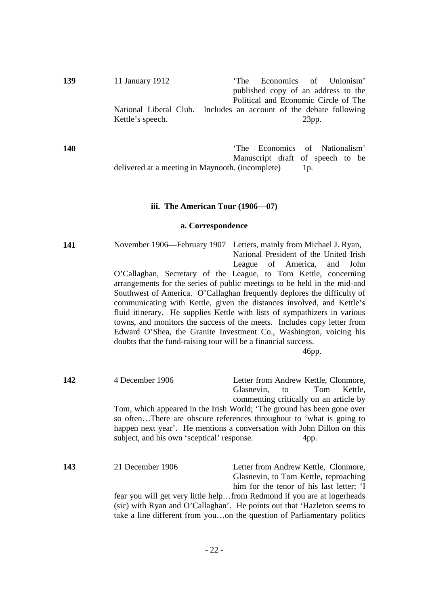| 139 | 11 January 1912  | 'The Economics of Unionism'                                        |
|-----|------------------|--------------------------------------------------------------------|
|     |                  | published copy of an address to the                                |
|     |                  | Political and Economic Circle of The                               |
|     |                  | National Liberal Club. Includes an account of the debate following |
|     | Kettle's speech. | $23$ pp.                                                           |
|     |                  |                                                                    |

**140 140 CONS 140 CONS 140 CONS 140 CONS 140 CONS CONS CONS CONS CONS CONS CONS CONS CONS CONS CONS CONS CONS CONS CONS CONS** Manuscript draft of speech to be delivered at a meeting in Maynooth. (incomplete) 1p.

#### **iii. The American Tour (1906—07)**

#### **a. Correspondence**

**141** November 1906—February 1907 Letters, mainly from Michael J. Ryan, National President of the United Irish League of America, and John O'Callaghan, Secretary of the League, to Tom Kettle, concerning arrangements for the series of public meetings to be held in the mid-and Southwest of America. O'Callaghan frequently deplores the difficulty of communicating with Kettle, given the distances involved, and Kettle's fluid itinerary. He supplies Kettle with lists of sympathizers in various towns, and monitors the success of the meets. Includes copy letter from Edward O'Shea, the Granite Investment Co., Washington, voicing his doubts that the fund-raising tour will be a financial success.

46pp.

**142** 4 December 1906 Letter from Andrew Kettle, Clonmore, Glasnevin, to Tom Kettle, commenting critically on an article by Tom, which appeared in the Irish World; 'The ground has been gone over so often…There are obscure references throughout to 'what is going to happen next year'. He mentions a conversation with John Dillon on this subject, and his own 'sceptical' response. 4pp.

**143** 21 December 1906 Letter from Andrew Kettle, Clonmore, Glasnevin, to Tom Kettle, reproaching him for the tenor of his last letter; 'I fear you will get very little help…from Redmond if you are at logerheads (sic) with Ryan and O'Callaghan'. He points out that 'Hazleton seems to take a line different from you…on the question of Parliamentary politics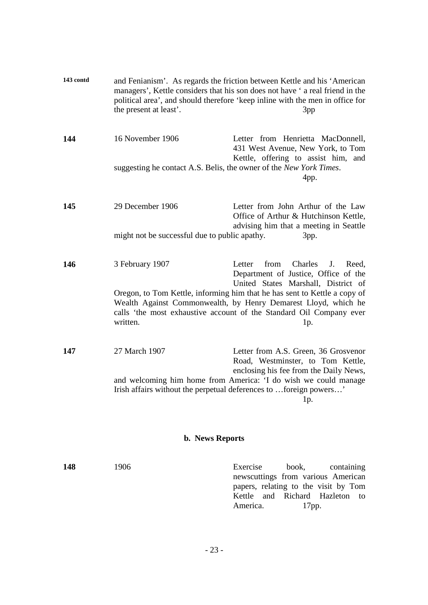| 143 contd | the present at least'. | and Fenianism'. As regards the friction between Kettle and his 'American<br>managers', Kettle considers that his son does not have 'a real friend in the<br>political area', and should therefore 'keep inline with the men in office for<br>3pp |  |  |  |
|-----------|------------------------|--------------------------------------------------------------------------------------------------------------------------------------------------------------------------------------------------------------------------------------------------|--|--|--|
| 144       | 16 November 1906       | Letter from Henrietta MacDonnell,<br>431 West Avenue, New York, to Tom<br>Kettle, offering to assist him, and                                                                                                                                    |  |  |  |
|           |                        | suggesting he contact A.S. Belis, the owner of the New York Times.<br>4pp.                                                                                                                                                                       |  |  |  |
| 145       | 29 December 1906       | Letter from John Arthur of the Law<br>Office of Arthur & Hutchinson Kettle,<br>advising him that a meeting in Seattle                                                                                                                            |  |  |  |
|           |                        | might not be successful due to public apathy.<br>3pp.                                                                                                                                                                                            |  |  |  |
| 146       | 3 February 1907        | Charles<br>from<br>Letter<br>J.<br>Reed,<br>Department of Justice, Office of the<br>United States Marshall, District of                                                                                                                          |  |  |  |
|           | written.               | Oregon, to Tom Kettle, informing him that he has sent to Kettle a copy of<br>Wealth Against Commonwealth, by Henry Demarest Lloyd, which he<br>calls 'the most exhaustive account of the Standard Oil Company ever<br>1p.                        |  |  |  |
| 147       | 27 March 1907          | Letter from A.S. Green, 36 Grosvenor<br>Road, Westminster, to Tom Kettle,                                                                                                                                                                        |  |  |  |
|           |                        | enclosing his fee from the Daily News,<br>and welcoming him home from America: 'I do wish we could manage<br>Irish affairs without the perpetual deferences to foreign powers'<br>1p.                                                            |  |  |  |
|           |                        | <b>b.</b> News Reports                                                                                                                                                                                                                           |  |  |  |
| 148       | 1906                   | Exercise<br>book,<br>containing<br>newscuttings from various American<br>papers, relating to the visit by Tom                                                                                                                                    |  |  |  |

Kettle and Richard Hazleton to

America. 17pp.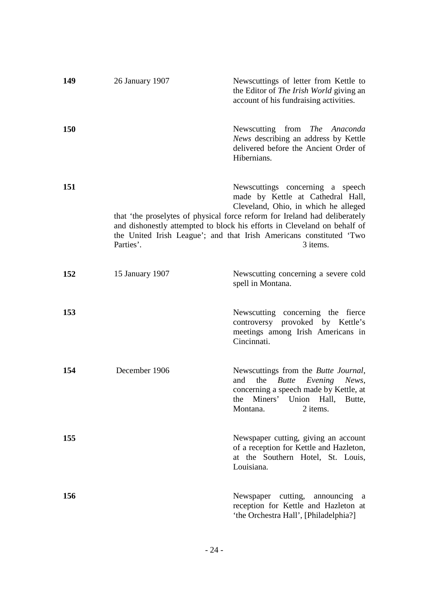| 149        | 26 January 1907 | Newscuttings of letter from Kettle to<br>the Editor of The Irish World giving an<br>account of his fundraising activities.                                                                                                                                                                                                                                 |
|------------|-----------------|------------------------------------------------------------------------------------------------------------------------------------------------------------------------------------------------------------------------------------------------------------------------------------------------------------------------------------------------------------|
| <b>150</b> |                 | Newscutting from The Anaconda<br>News describing an address by Kettle<br>delivered before the Ancient Order of<br>Hibernians.                                                                                                                                                                                                                              |
| <b>151</b> | Parties'.       | Newscuttings concerning a speech<br>made by Kettle at Cathedral Hall,<br>Cleveland, Ohio, in which he alleged<br>that 'the proselytes of physical force reform for Ireland had deliberately<br>and dishonestly attempted to block his efforts in Cleveland on behalf of<br>the United Irish League'; and that Irish Americans constituted 'Two<br>3 items. |
| 152        | 15 January 1907 | Newscutting concerning a severe cold<br>spell in Montana.                                                                                                                                                                                                                                                                                                  |
| 153        |                 | Newscutting concerning the fierce<br>controversy provoked by Kettle's<br>meetings among Irish Americans in<br>Cincinnati.                                                                                                                                                                                                                                  |
| 154        | December 1906   | Newscuttings from the Butte Journal,<br><b>Butte</b><br>Evening News,<br>and<br>the<br>concerning a speech made by Kettle, at<br>Miners' Union Hall,<br>the<br>Butte,<br>Montana.<br>2 items.                                                                                                                                                              |
| 155        |                 | Newspaper cutting, giving an account<br>of a reception for Kettle and Hazleton,<br>at the Southern Hotel, St. Louis,<br>Louisiana.                                                                                                                                                                                                                         |
| 156        |                 | Newspaper cutting, announcing<br><sub>a</sub><br>reception for Kettle and Hazleton at<br>'the Orchestra Hall', [Philadelphia?]                                                                                                                                                                                                                             |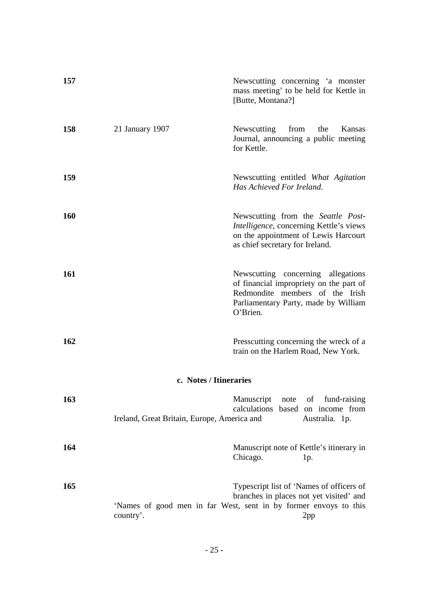| 157 |                                             | Newscutting concerning 'a monster<br>mass meeting' to be held for Kettle in<br>[Butte, Montana?]                                                                     |
|-----|---------------------------------------------|----------------------------------------------------------------------------------------------------------------------------------------------------------------------|
| 158 | 21 January 1907                             | Newscutting<br>from<br>the<br>Kansas<br>Journal, announcing a public meeting<br>for Kettle.                                                                          |
| 159 |                                             | Newscutting entitled What Agitation<br>Has Achieved For Ireland.                                                                                                     |
| 160 |                                             | Newscutting from the Seattle Post-<br>Intelligence, concerning Kettle's views<br>on the appointment of Lewis Harcourt<br>as chief secretary for Ireland.             |
| 161 |                                             | Newscutting concerning allegations<br>of financial impropriety on the part of<br>Redmondite members of the Irish<br>Parliamentary Party, made by William<br>O'Brien. |
| 162 |                                             | Presscutting concerning the wreck of a<br>train on the Harlem Road, New York.                                                                                        |
|     |                                             | c. Notes / Itineraries                                                                                                                                               |
| 163 | Ireland, Great Britain, Europe, America and | of fund-raising<br>Manuscript<br>note<br>calculations<br>based on income from<br>Australia. 1p.                                                                      |
| 164 |                                             | Manuscript note of Kettle's itinerary in<br>Chicago.<br>1p.                                                                                                          |
| 165 | country'.                                   | Typescript list of 'Names of officers of<br>branches in places not yet visited' and<br>'Names of good men in far West, sent in by former envoys to this<br>2pp       |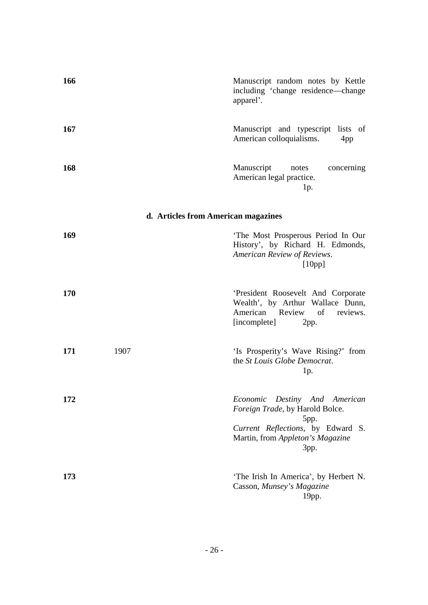| 166 |                                     | Manuscript random notes by Kettle<br>including 'change residence-change<br>apparel'.                                                                         |
|-----|-------------------------------------|--------------------------------------------------------------------------------------------------------------------------------------------------------------|
| 167 |                                     | Manuscript and typescript lists of<br>American colloquialisms.<br>4pp                                                                                        |
| 168 |                                     | Manuscript<br>concerning<br>notes<br>American legal practice.<br>$1p$ .                                                                                      |
|     | d. Articles from American magazines |                                                                                                                                                              |
| 169 |                                     | 'The Most Prosperous Period In Our<br>History', by Richard H. Edmonds,<br>American Review of Reviews.<br>[10pp]                                              |
| 170 |                                     | 'President Roosevelt And Corporate<br>Wealth', by Arthur Wallace Dunn,<br>American Review<br>of<br>reviews.<br>[incomplete]<br>2pp.                          |
| 171 | 1907                                | 'Is Prosperity's Wave Rising?' from<br>the St Louis Globe Democrat.<br>1p.                                                                                   |
| 172 |                                     | Economic<br>Destiny And American<br>Foreign Trade, by Harold Bolce.<br>5pp.<br>Current Reflections, by Edward S.<br>Martin, from Appleton's Magazine<br>3pp. |
| 173 |                                     | 'The Irish In America', by Herbert N.<br>Casson, Munsey's Magazine<br>$19$ pp.                                                                               |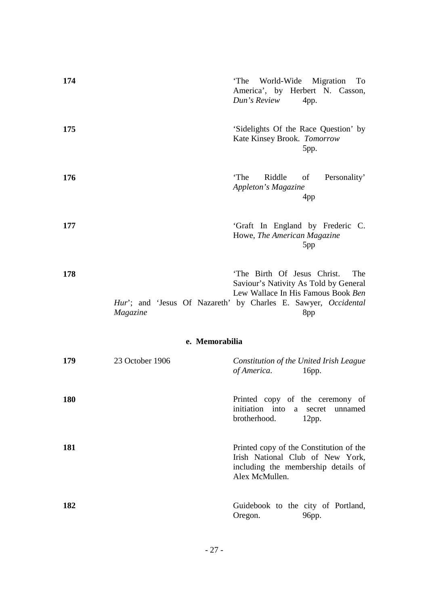| 174        |                 | 'The World-Wide Migration<br>To<br>America', by Herbert N. Casson,<br>Dun's Review<br>4pp.                                                                                                 |
|------------|-----------------|--------------------------------------------------------------------------------------------------------------------------------------------------------------------------------------------|
| 175        |                 | 'Sidelights Of the Race Question' by<br>Kate Kinsey Brook. Tomorrow<br>5pp.                                                                                                                |
| 176        |                 | 'The<br>Riddle<br>of<br>Personality'<br>Appleton's Magazine<br>4 <sub>pp</sub>                                                                                                             |
| 177        |                 | 'Graft In England by Frederic C.<br>Howe, The American Magazine<br>5pp                                                                                                                     |
| 178        | Magazine        | 'The Birth Of Jesus Christ.<br>The<br>Saviour's Nativity As Told by General<br>Lew Wallace In His Famous Book Ben<br>Hur'; and 'Jesus Of Nazareth' by Charles E. Sawyer, Occidental<br>8pp |
|            | e. Memorabilia  |                                                                                                                                                                                            |
| 179        | 23 October 1906 | Constitution of the United Irish League<br>of America.<br>16pp.                                                                                                                            |
| <b>180</b> |                 | Printed copy of the ceremony of<br>initiation into<br>unnamed<br>a<br>secret<br>brotherhood.<br>12pp.                                                                                      |
| 181        |                 | Printed copy of the Constitution of the<br>Irish National Club of New York,<br>including the membership details of<br>Alex McMullen.                                                       |
| 182        |                 | Guidebook to the city of Portland,<br>Oregon.<br>96pp.                                                                                                                                     |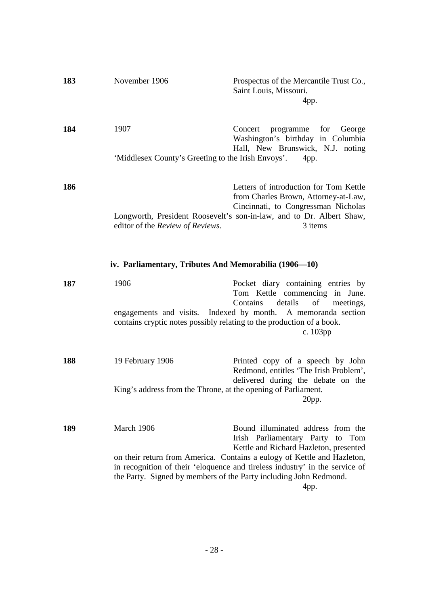| 183 | November 1906                                                                 | Prospectus of the Mercantile Trust Co.,<br>Saint Louis, Missouri.<br>4pp.                                                                                                                                                           |
|-----|-------------------------------------------------------------------------------|-------------------------------------------------------------------------------------------------------------------------------------------------------------------------------------------------------------------------------------|
| 184 | 1907                                                                          | programme<br>Concert<br>for George<br>Washington's birthday in Columbia<br>Hall, New Brunswick, N.J. noting                                                                                                                         |
|     | 'Middlesex County's Greeting to the Irish Envoys'.                            | 4pp.                                                                                                                                                                                                                                |
| 186 | editor of the Review of Reviews.                                              | Letters of introduction for Tom Kettle<br>from Charles Brown, Attorney-at-Law,<br>Cincinnati, to Congressman Nicholas<br>Longworth, President Roosevelt's son-in-law, and to Dr. Albert Shaw,<br>3 items                            |
|     | iv. Parliamentary, Tributes And Memorabilia (1906–10)                         |                                                                                                                                                                                                                                     |
| 187 | 1906<br>contains cryptic notes possibly relating to the production of a book. | Pocket diary containing entries by<br>Tom Kettle commencing in June.<br>Contains<br>details<br>of<br>meetings,<br>engagements and visits. Indexed by month. A memoranda section<br>c. 103pp                                         |
| 188 | 19 February 1906                                                              | Printed copy of a speech by John<br>Redmond, entitles 'The Irish Problem',                                                                                                                                                          |
|     | King's address from the Throne, at the opening of Parliament.                 | delivered during the debate on the<br>20pp.                                                                                                                                                                                         |
| 189 | March 1906                                                                    | Bound illuminated address from the<br>Irish Parliamentary Party to Tom<br>Kettle and Richard Hazleton, presented                                                                                                                    |
|     |                                                                               | on their return from America. Contains a eulogy of Kettle and Hazleton,<br>in recognition of their 'eloquence and tireless industry' in the service of<br>the Party. Signed by members of the Party including John Redmond.<br>4pp. |
|     |                                                                               |                                                                                                                                                                                                                                     |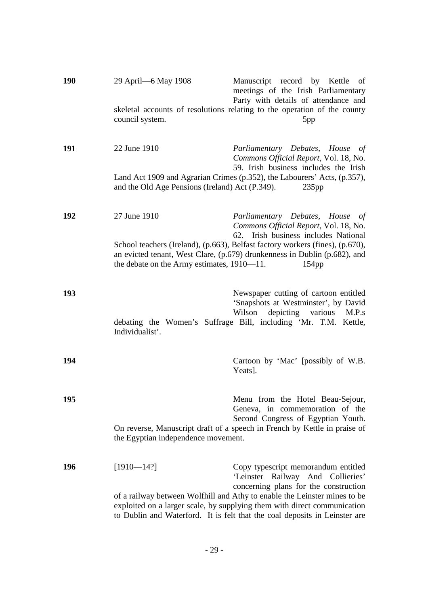| <b>190</b> | 29 April - 6 May 1908                                                                                            | Manuscript record by Kettle<br>of<br>meetings of the Irish Parliamentary                                                                                                                                                            |
|------------|------------------------------------------------------------------------------------------------------------------|-------------------------------------------------------------------------------------------------------------------------------------------------------------------------------------------------------------------------------------|
|            | council system.                                                                                                  | Party with details of attendance and<br>skeletal accounts of resolutions relating to the operation of the county<br>5pp                                                                                                             |
| 191        | 22 June 1910                                                                                                     | Parliamentary Debates, House of<br>Commons Official Report, Vol. 18, No.<br>59. Irish business includes the Irish                                                                                                                   |
|            | and the Old Age Pensions (Ireland) Act (P.349).                                                                  | Land Act 1909 and Agrarian Crimes (p.352), the Labourers' Acts, (p.357),<br>235pp                                                                                                                                                   |
| 192        | 27 June 1910                                                                                                     | Parliamentary Debates, House of<br>Commons Official Report, Vol. 18, No.<br>Irish business includes National<br>62.                                                                                                                 |
|            | the debate on the Army estimates, 1910-11.                                                                       | School teachers (Ireland), (p.663), Belfast factory workers (fines), (p.670),<br>an evicted tenant, West Clare, (p.679) drunkenness in Dublin (p.682), and<br>154 <sub>pp</sub>                                                     |
| 193        | Individualist'.                                                                                                  | Newspaper cutting of cartoon entitled<br>'Snapshots at Westminster', by David<br>Wilson<br>depicting various<br>M.P.s<br>debating the Women's Suffrage Bill, including 'Mr. T.M. Kettle,                                            |
| 194        |                                                                                                                  | Cartoon by 'Mac' [possibly of W.B.<br>Yeats].                                                                                                                                                                                       |
| 195        |                                                                                                                  | Menu from the Hotel Beau-Sejour,<br>Geneva, in commemoration of the<br>Second Congress of Egyptian Youth.                                                                                                                           |
|            | On reverse, Manuscript draft of a speech in French by Kettle in praise of<br>the Egyptian independence movement. |                                                                                                                                                                                                                                     |
| 196        | $[1910 - 14?]$                                                                                                   | Copy typescript memorandum entitled<br>'Leinster Railway And Collieries'<br>concerning plans for the construction                                                                                                                   |
|            |                                                                                                                  | of a railway between Wolfhill and Athy to enable the Leinster mines to be<br>exploited on a larger scale, by supplying them with direct communication<br>to Dublin and Waterford. It is felt that the coal deposits in Leinster are |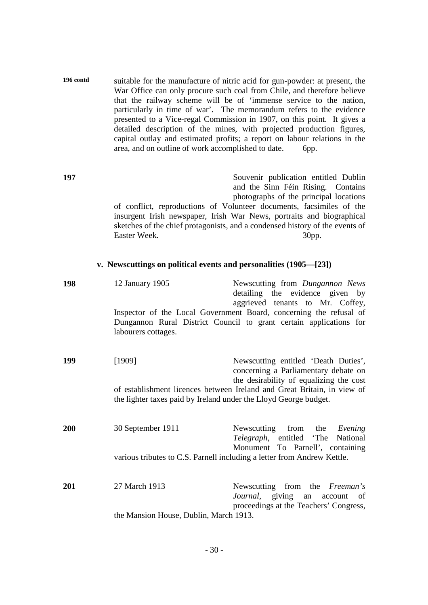| 196 contd | suitable for the manufacture of nitric acid for gun-powder: at present, the |  |
|-----------|-----------------------------------------------------------------------------|--|
|           | War Office can only procure such coal from Chile, and therefore believe     |  |
|           | that the railway scheme will be of 'immense service to the nation,          |  |
|           | particularly in time of war'. The memorandum refers to the evidence         |  |
|           | presented to a Vice-regal Commission in 1907, on this point. It gives a     |  |
|           | detailed description of the mines, with projected production figures,       |  |
|           | capital outlay and estimated profits; a report on labour relations in the   |  |
|           | area, and on outline of work accomplished to date.<br>bpp.                  |  |

**197** Souvenir publication entitled Dublin and the Sinn Féin Rising. Contains photographs of the principal locations of conflict, reproductions of Volunteer documents, facsimiles of the insurgent Irish newspaper, Irish War News, portraits and biographical sketches of the chief protagonists, and a condensed history of the events of Easter Week. 30pp.

#### **v. Newscuttings on political events and personalities (1905—[23])**

| 198                                                                     | 12 January 1905                                                  | Newscutting from Dungannon News<br>detailing the evidence given by<br>aggrieved tenants to Mr. Coffey,                                   |
|-------------------------------------------------------------------------|------------------------------------------------------------------|------------------------------------------------------------------------------------------------------------------------------------------|
|                                                                         | labourers cottages.                                              | Inspector of the Local Government Board, concerning the refusal of<br>Dungannon Rural District Council to grant certain applications for |
| 199                                                                     | [1909]                                                           | Newscutting entitled 'Death Duties',<br>concerning a Parliamentary debate on<br>the desirability of equalizing the cost                  |
|                                                                         | the lighter taxes paid by Ireland under the Lloyd George budget. | of establishment licences between Ireland and Great Britain, in view of                                                                  |
| 200                                                                     | 30 September 1911                                                | Newscutting from the<br>Evening<br>Telegraph, entitled 'The National<br>Monument To Parnell', containing                                 |
| various tributes to C.S. Parnell including a letter from Andrew Kettle. |                                                                  |                                                                                                                                          |
| 201                                                                     | 27 March 1913                                                    | Newscutting from the <i>Freeman's</i><br>Journal, giving an account of<br>proceedings at the Teachers' Congress,                         |

the Mansion House, Dublin, March 1913.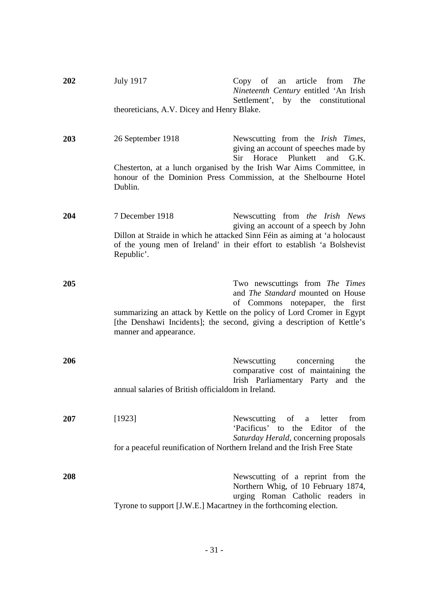| 202 | <b>July 1917</b>                                                                                                                                                    | $Copy$ of an<br>article from<br><b>The</b><br>Nineteenth Century entitled 'An Irish<br>Settlement', by the constitutional                                                                                                                                     |
|-----|---------------------------------------------------------------------------------------------------------------------------------------------------------------------|---------------------------------------------------------------------------------------------------------------------------------------------------------------------------------------------------------------------------------------------------------------|
|     | theoreticians, A.V. Dicey and Henry Blake.                                                                                                                          |                                                                                                                                                                                                                                                               |
| 203 | 26 September 1918                                                                                                                                                   | Newscutting from the Irish Times,<br>giving an account of speeches made by<br>Sir Horace Plunkett and G.K.                                                                                                                                                    |
|     | Dublin.                                                                                                                                                             | Chesterton, at a lunch organised by the Irish War Aims Committee, in<br>honour of the Dominion Press Commission, at the Shelbourne Hotel                                                                                                                      |
| 204 | 7 December 1918                                                                                                                                                     | Newscutting from the Irish News<br>giving an account of a speech by John                                                                                                                                                                                      |
|     | Dillon at Straide in which he attacked Sinn Féin as aiming at 'a holocaust<br>of the young men of Ireland' in their effort to establish 'a Bolshevist<br>Republic'. |                                                                                                                                                                                                                                                               |
| 205 | manner and appearance.                                                                                                                                              | Two newscuttings from The Times<br>and The Standard mounted on House<br>of Commons notepaper,<br>the first<br>summarizing an attack by Kettle on the policy of Lord Cromer in Egypt<br>[the Denshawi Incidents]; the second, giving a description of Kettle's |
| 206 | annual salaries of British officialdom in Ireland.                                                                                                                  | Newscutting<br>concerning<br>the<br>comparative cost of maintaining the<br>Irish Parliamentary Party and the                                                                                                                                                  |
| 207 | [1923]                                                                                                                                                              | Newscutting of a letter<br>from                                                                                                                                                                                                                               |
|     |                                                                                                                                                                     | 'Pacificus' to the Editor of the<br>Saturday Herald, concerning proposals                                                                                                                                                                                     |
|     |                                                                                                                                                                     | for a peaceful reunification of Northern Ireland and the Irish Free State                                                                                                                                                                                     |
| 208 |                                                                                                                                                                     | Newscutting of a reprint from the<br>Northern Whig, of 10 February 1874,<br>urging Roman Catholic readers in                                                                                                                                                  |
|     | Tyrone to support [J.W.E.] Macartney in the forthcoming election.                                                                                                   |                                                                                                                                                                                                                                                               |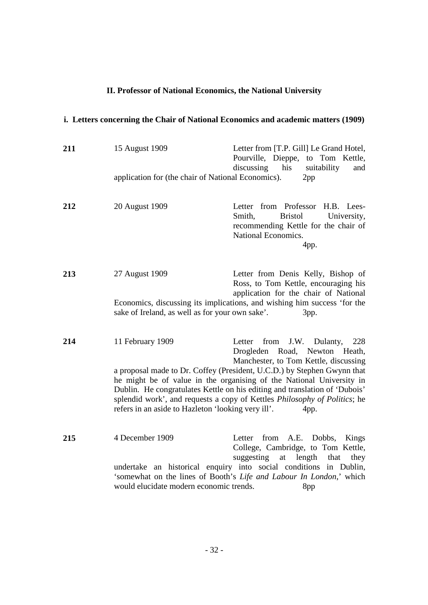### **II. Professor of National Economics, the National University**

# **i. Letters concerning the Chair of National Economics and academic matters (1909)**

| 211 | 15 August 1909<br>application for (the chair of National Economics). | Letter from [T.P. Gill] Le Grand Hotel,<br>Pourville, Dieppe, to Tom Kettle,<br>his<br>discussing<br>suitability<br>and<br>2pp                                                                                                                                                                                     |
|-----|----------------------------------------------------------------------|--------------------------------------------------------------------------------------------------------------------------------------------------------------------------------------------------------------------------------------------------------------------------------------------------------------------|
| 212 | 20 August 1909                                                       | Letter from Professor<br>H.B. Lees-<br><b>Bristol</b><br>Smith,<br>University,<br>recommending Kettle for the chair of<br>National Economics.<br>4pp.                                                                                                                                                              |
| 213 | 27 August 1909                                                       | Letter from Denis Kelly, Bishop of<br>Ross, to Tom Kettle, encouraging his<br>application for the chair of National<br>Economics, discussing its implications, and wishing him success 'for the                                                                                                                    |
|     | sake of Ireland, as well as for your own sake'.                      | 3pp.                                                                                                                                                                                                                                                                                                               |
| 214 | 11 February 1909                                                     | from<br>J.W. Dulanty,<br>Letter<br>228<br>Drogleden Road, Newton Heath,<br>Manchester, to Tom Kettle, discussing                                                                                                                                                                                                   |
|     | refers in an aside to Hazleton 'looking very ill'.                   | a proposal made to Dr. Coffey (President, U.C.D.) by Stephen Gwynn that<br>he might be of value in the organising of the National University in<br>Dublin. He congratulates Kettle on his editing and translation of 'Dubois'<br>splendid work', and requests a copy of Kettles Philosophy of Politics; he<br>4pp. |
| 215 | 4 December 1909                                                      | Letter from A.E. Dobbs, Kings<br>College, Cambridge, to Tom Kettle,<br>suggesting<br>length<br>at<br>that<br>they                                                                                                                                                                                                  |
|     | would elucidate modern economic trends.                              | undertake an historical enquiry into social conditions in Dublin,<br>'somewhat on the lines of Booth's Life and Labour In London,' which<br>8pp                                                                                                                                                                    |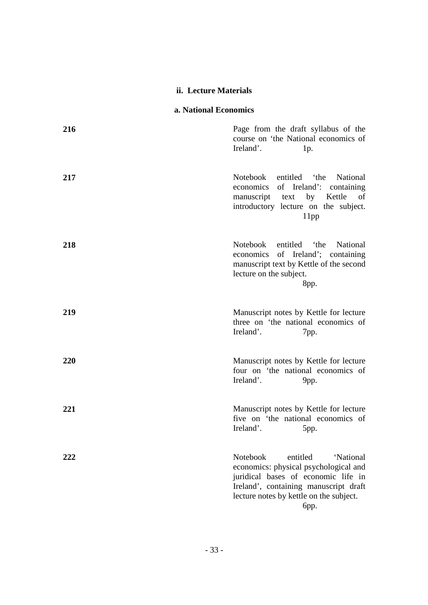#### **ii. Lecture Materials**

### **a. National Economics**

| 216 | Page from the draft syllabus of the<br>course on 'the National economics of<br>Ireland'.<br>1p.                                                                                                               |
|-----|---------------------------------------------------------------------------------------------------------------------------------------------------------------------------------------------------------------|
| 217 | entitled the<br>Notebook<br>National<br>economics of Ireland':<br>containing<br>manuscript text by Kettle of<br>introductory lecture on the subject.<br>11pp                                                  |
| 218 | Notebook<br>entitled<br>the <sup>*</sup><br>National<br>economics of Ireland'; containing<br>manuscript text by Kettle of the second<br>lecture on the subject.<br>8pp.                                       |
| 219 | Manuscript notes by Kettle for lecture<br>three on 'the national economics of<br>Ireland'.<br>7pp.                                                                                                            |
| 220 | Manuscript notes by Kettle for lecture<br>four on 'the national economics of<br>Ireland'.<br>$9$ pp.                                                                                                          |
| 221 | Manuscript notes by Kettle for lecture<br>five on 'the national economics of<br>Ireland'.<br>5pp.                                                                                                             |
| 222 | Notebook<br>entitled<br>'National<br>economics: physical psychological and<br>juridical bases of economic life in<br>Ireland', containing manuscript draft<br>lecture notes by kettle on the subject.<br>бpp. |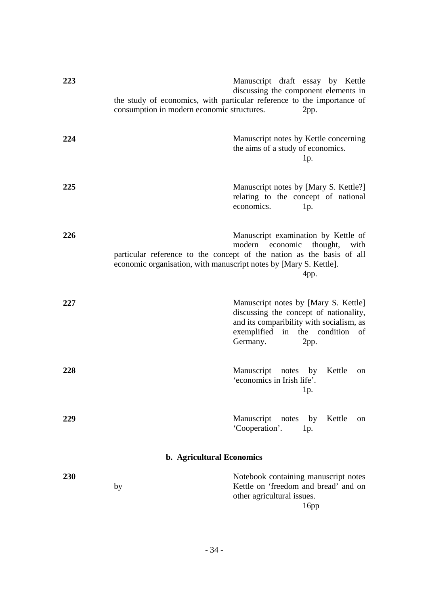| 223 | consumption in modern economic structures.                        | Manuscript draft essay by Kettle<br>discussing the component elements in<br>the study of economics, with particular reference to the importance of<br>2pp.                        |
|-----|-------------------------------------------------------------------|-----------------------------------------------------------------------------------------------------------------------------------------------------------------------------------|
| 224 |                                                                   | Manuscript notes by Kettle concerning<br>the aims of a study of economics.<br>1p.                                                                                                 |
| 225 |                                                                   | Manuscript notes by [Mary S. Kettle?]<br>relating to the concept of national<br>economics.<br>1p.                                                                                 |
| 226 | economic organisation, with manuscript notes by [Mary S. Kettle]. | Manuscript examination by Kettle of<br>modern economic<br>thought,<br>with<br>particular reference to the concept of the nation as the basis of all<br>4pp.                       |
| 227 |                                                                   | Manuscript notes by [Mary S. Kettle]<br>discussing the concept of nationality,<br>and its comparibility with socialism, as<br>exemplified in the condition of<br>Germany.<br>2pp. |
| 228 |                                                                   | Manuscript notes by<br>Kettle<br>on<br>'economics in Irish life'.<br>1p.                                                                                                          |
| 229 |                                                                   | Manuscript notes<br>Kettle<br>by<br>on<br>'Cooperation'.<br>1p.                                                                                                                   |
|     | b. Agricultural Economics                                         |                                                                                                                                                                                   |
| 230 | by                                                                | Notebook containing manuscript notes<br>Kettle on 'freedom and bread' and on<br>other agricultural issues.<br>16pp                                                                |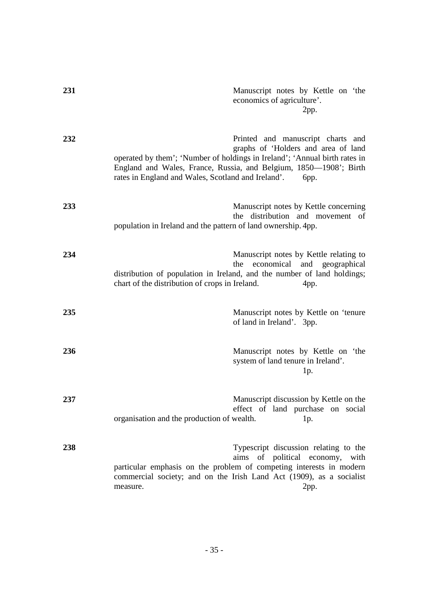| 231 |                                                                                                                                                                                                       | Manuscript notes by Kettle on 'the<br>economics of agriculture'.<br>2pp.           |
|-----|-------------------------------------------------------------------------------------------------------------------------------------------------------------------------------------------------------|------------------------------------------------------------------------------------|
| 232 | operated by them'; 'Number of holdings in Ireland'; 'Annual birth rates in<br>England and Wales, France, Russia, and Belgium, 1850-1908'; Birth<br>rates in England and Wales, Scotland and Ireland'. | Printed and manuscript charts and<br>graphs of 'Holders and area of land<br>бpр.   |
| 233 | the<br>population in Ireland and the pattern of land ownership. 4pp.                                                                                                                                  | Manuscript notes by Kettle concerning<br>distribution and movement of              |
| 234 | the<br>distribution of population in Ireland, and the number of land holdings;<br>chart of the distribution of crops in Ireland.                                                                      | Manuscript notes by Kettle relating to<br>economical and geographical<br>4pp.      |
| 235 |                                                                                                                                                                                                       | Manuscript notes by Kettle on 'tenure<br>of land in Ireland'. 3pp.                 |
| 236 |                                                                                                                                                                                                       | Manuscript notes by Kettle on 'the<br>system of land tenure in Ireland'.<br>1p.    |
| 237 | organisation and the production of wealth.                                                                                                                                                            | Manuscript discussion by Kettle on the<br>effect of land purchase on social<br>1p. |
| 238 | aims<br>particular emphasis on the problem of competing interests in modern<br>commercial society; and on the Irish Land Act (1909), as a socialist<br>measure.                                       | Typescript discussion relating to the<br>of political economy, with<br>2pp.        |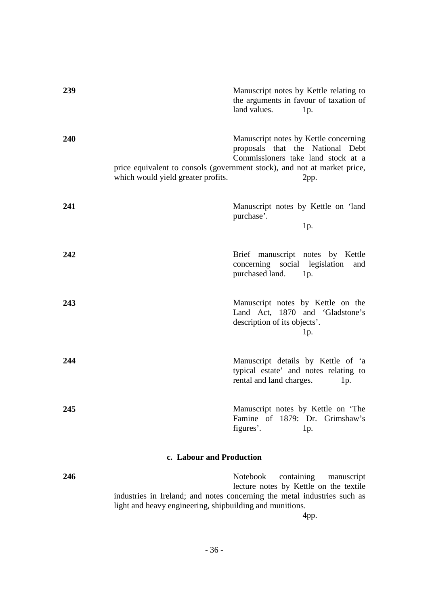| 239 | Manuscript notes by Kettle relating to<br>the arguments in favour of taxation of<br>land values.<br>1p.                                                                                                                                   |     |
|-----|-------------------------------------------------------------------------------------------------------------------------------------------------------------------------------------------------------------------------------------------|-----|
| 240 | Manuscript notes by Kettle concerning<br>proposals that the National Debt<br>Commissioners take land stock at a<br>price equivalent to consols (government stock), and not at market price,<br>which would yield greater profits.<br>2pp. |     |
| 241 | Manuscript notes by Kettle on 'land<br>purchase'.<br>1p.                                                                                                                                                                                  |     |
| 242 | Brief manuscript notes by Kettle<br>concerning social legislation<br>purchased land.<br>1p.                                                                                                                                               | and |
| 243 | Manuscript notes by Kettle on the<br>Land Act, 1870 and 'Gladstone's<br>description of its objects'.<br>1p.                                                                                                                               |     |
| 244 | Manuscript details by Kettle of 'a<br>typical estate' and notes relating to<br>rental and land charges.<br>1p.                                                                                                                            |     |
| 245 | Manuscript notes by Kettle on 'The<br>Famine of 1879: Dr. Grimshaw's<br>figures'.<br>1p.                                                                                                                                                  |     |
|     | c. Labour and Production                                                                                                                                                                                                                  |     |
| 246 | Notebook<br>containing<br>manuscript<br>lecture notes by Kettle on the textile<br>industries in Ireland; and notes concerning the metal industries such as<br>light and heavy engineering, shipbuilding and munitions.                    |     |
|     | 4pp.                                                                                                                                                                                                                                      |     |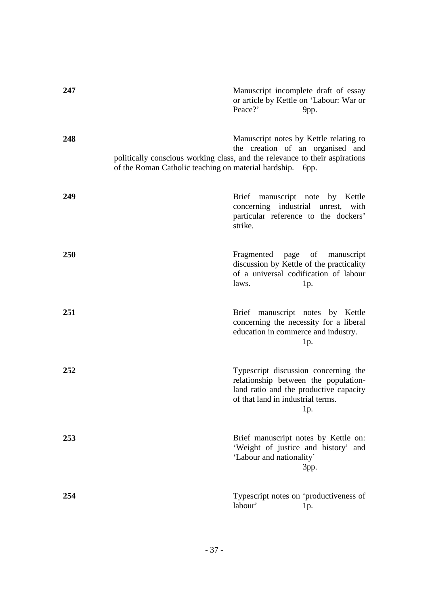| 247 | Manuscript incomplete draft of essay<br>or article by Kettle on 'Labour: War or<br>Peace?'<br>9pp.                                                                                                                     |
|-----|------------------------------------------------------------------------------------------------------------------------------------------------------------------------------------------------------------------------|
| 248 | Manuscript notes by Kettle relating to<br>the creation of an organised and<br>politically conscious working class, and the relevance to their aspirations<br>of the Roman Catholic teaching on material hardship. 6pp. |
| 249 | Brief manuscript note by Kettle<br>concerning industrial unrest,<br>with<br>particular reference to the dockers'<br>strike.                                                                                            |
| 250 | Fragmented page of manuscript<br>discussion by Kettle of the practicality<br>of a universal codification of labour<br>laws.<br>1p.                                                                                     |
| 251 | Brief manuscript notes by Kettle<br>concerning the necessity for a liberal<br>education in commerce and industry.<br>1p.                                                                                               |
| 252 | Typescript discussion concerning the<br>relationship between the population-<br>land ratio and the productive capacity<br>of that land in industrial terms.<br>1p.                                                     |
| 253 | Brief manuscript notes by Kettle on:<br>'Weight of justice and history' and<br>'Labour and nationality'<br>3pp.                                                                                                        |
| 254 | Typescript notes on 'productiveness of<br>labour'<br>1p.                                                                                                                                                               |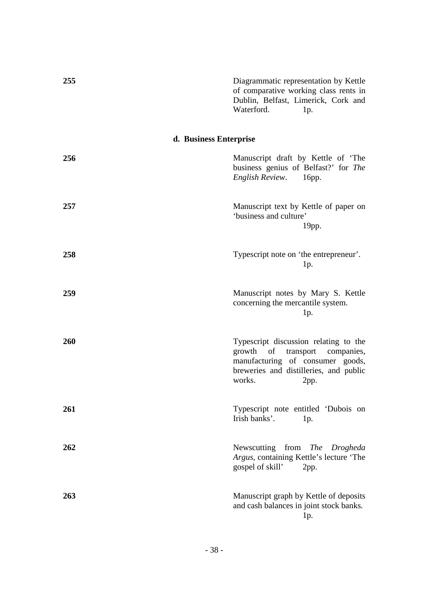## **d. Business Enterprise**

| 256 | Manuscript draft by Kettle of 'The<br>business genius of Belfast?' for The<br><b>English Review.</b><br>16pp.                                                                    |
|-----|----------------------------------------------------------------------------------------------------------------------------------------------------------------------------------|
| 257 | Manuscript text by Kettle of paper on<br>'business and culture'<br>19pp.                                                                                                         |
| 258 | Typescript note on 'the entrepreneur'.<br>1p.                                                                                                                                    |
| 259 | Manuscript notes by Mary S. Kettle<br>concerning the mercantile system.<br>1p.                                                                                                   |
| 260 | Typescript discussion relating to the<br>of<br>transport<br>growth<br>companies,<br>manufacturing of consumer goods,<br>breweries and distilleries, and public<br>works.<br>2pp. |
| 261 | Typescript note entitled 'Dubois on<br>Irish banks'.<br>1p.                                                                                                                      |
| 262 | Newscutting from The Drogheda<br>Argus, containing Kettle's lecture 'The<br>gospel of skill'<br>2pp.                                                                             |
| 263 | Manuscript graph by Kettle of deposits<br>and cash balances in joint stock banks.<br>1p.                                                                                         |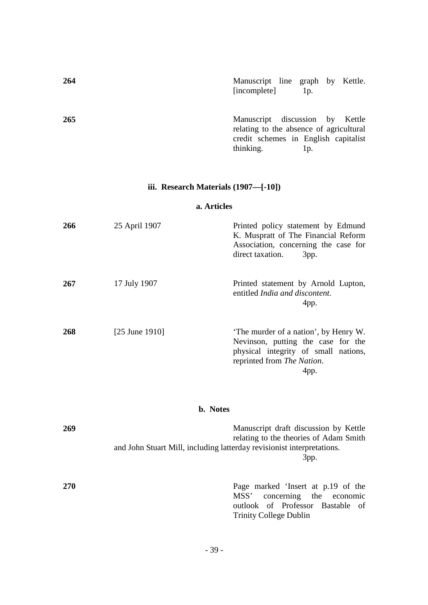| 264 | Manuscript line graph by Kettle.<br>[incomplete]                                                                                | 1p. |  |
|-----|---------------------------------------------------------------------------------------------------------------------------------|-----|--|
| 265 | Manuscript discussion by Kettle<br>relating to the absence of agricultural<br>credit schemes in English capitalist<br>thinking. | Ip. |  |

## **iii. Research Materials (1907—[-10])**

### **a. Articles**

| 266 | 25 April 1907             | Printed policy statement by Edmund<br>K. Muspratt of The Financial Reform<br>Association, concerning the case for<br>direct taxation.<br>3pp.             |
|-----|---------------------------|-----------------------------------------------------------------------------------------------------------------------------------------------------------|
| 267 | 17 July 1907              | Printed statement by Arnold Lupton,<br>entitled <i>India and discontent</i> .<br>4pp.                                                                     |
| 268 | $[25 \text{ June } 1910]$ | 'The murder of a nation', by Henry W.<br>Nevinson, putting the case for the<br>physical integrity of small nations,<br>reprinted from The Nation.<br>4pp. |

### **b. Notes**

| 269        | Manuscript draft discussion by Kettle<br>relating to the theories of Adam Smith<br>and John Stuart Mill, including latterday revisionist interpretations. |
|------------|-----------------------------------------------------------------------------------------------------------------------------------------------------------|
|            | 3pp.                                                                                                                                                      |
| <b>270</b> | Page marked 'Insert at p.19 of the<br>MSS' concerning the economic<br>outlook of Professor Bastable of<br><b>Trinity College Dublin</b>                   |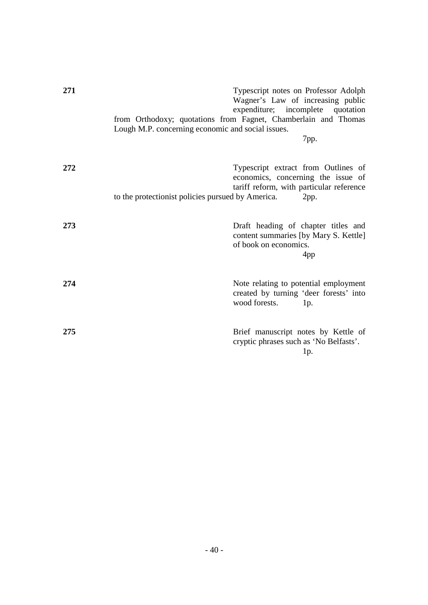| 271 | Lough M.P. concerning economic and social issues. | Typescript notes on Professor Adolph<br>Wagner's Law of increasing public<br>expenditure; incomplete quotation<br>from Orthodoxy; quotations from Fagnet, Chamberlain and Thomas<br>7pp. |
|-----|---------------------------------------------------|------------------------------------------------------------------------------------------------------------------------------------------------------------------------------------------|
| 272 | to the protectionist policies pursued by America. | Typescript extract from Outlines of<br>economics, concerning the issue of<br>tariff reform, with particular reference<br>2pp.                                                            |
| 273 |                                                   | Draft heading of chapter titles and<br>content summaries [by Mary S. Kettle]<br>of book on economics.<br>4pp                                                                             |
| 274 |                                                   | Note relating to potential employment<br>created by turning 'deer forests' into<br>wood forests.<br>1p.                                                                                  |
| 275 |                                                   | Brief manuscript notes by Kettle of<br>cryptic phrases such as 'No Belfasts'.<br>1p.                                                                                                     |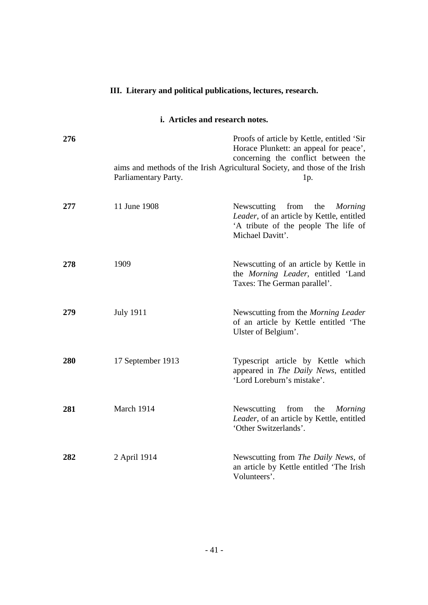## **III. Literary and political publications, lectures, research.**

### **i. Articles and research notes.**

| 276 | Parliamentary Party. | Proofs of article by Kettle, entitled 'Sir<br>Horace Plunkett: an appeal for peace',<br>concerning the conflict between the<br>aims and methods of the Irish Agricultural Society, and those of the Irish<br>1p. |
|-----|----------------------|------------------------------------------------------------------------------------------------------------------------------------------------------------------------------------------------------------------|
| 277 | 11 June 1908         | Newscutting<br>from<br>the<br>Morning<br>Leader, of an article by Kettle, entitled<br>'A tribute of the people The life of<br>Michael Davitt'.                                                                   |
| 278 | 1909                 | Newscutting of an article by Kettle in<br>the Morning Leader, entitled 'Land<br>Taxes: The German parallel'.                                                                                                     |
| 279 | <b>July 1911</b>     | Newscutting from the Morning Leader<br>of an article by Kettle entitled 'The<br>Ulster of Belgium'.                                                                                                              |
| 280 | 17 September 1913    | Typescript article by Kettle which<br>appeared in The Daily News, entitled<br>'Lord Loreburn's mistake'.                                                                                                         |
| 281 | March 1914           | Newscutting from<br>the<br><b>Morning</b><br>Leader, of an article by Kettle, entitled<br>'Other Switzerlands'.                                                                                                  |
| 282 | 2 April 1914         | Newscutting from The Daily News, of<br>an article by Kettle entitled 'The Irish<br>Volunteers'.                                                                                                                  |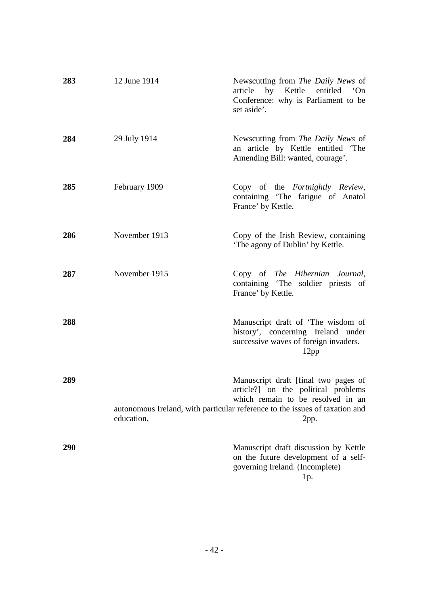| 283 | 12 June 1914  | Newscutting from The Daily News of<br>article by Kettle entitled 'On<br>Conference: why is Parliament to be<br>set aside'.                                                                              |
|-----|---------------|---------------------------------------------------------------------------------------------------------------------------------------------------------------------------------------------------------|
| 284 | 29 July 1914  | Newscutting from The Daily News of<br>an article by Kettle entitled 'The<br>Amending Bill: wanted, courage'.                                                                                            |
| 285 | February 1909 | Copy of the Fortnightly Review,<br>containing 'The fatigue of Anatol<br>France' by Kettle.                                                                                                              |
| 286 | November 1913 | Copy of the Irish Review, containing<br>'The agony of Dublin' by Kettle.                                                                                                                                |
| 287 | November 1915 | Copy of The Hibernian Journal,<br>containing 'The soldier priests of<br>France' by Kettle.                                                                                                              |
| 288 |               | Manuscript draft of 'The wisdom of<br>history', concerning Ireland under<br>successive waves of foreign invaders.<br>12pp                                                                               |
| 289 | education.    | Manuscript draft [final two pages of<br>article?] on the political problems<br>which remain to be resolved in an<br>autonomous Ireland, with particular reference to the issues of taxation and<br>2pp. |
| 290 |               | Manuscript draft discussion by Kettle<br>on the future development of a self-<br>governing Ireland. (Incomplete)<br>1p.                                                                                 |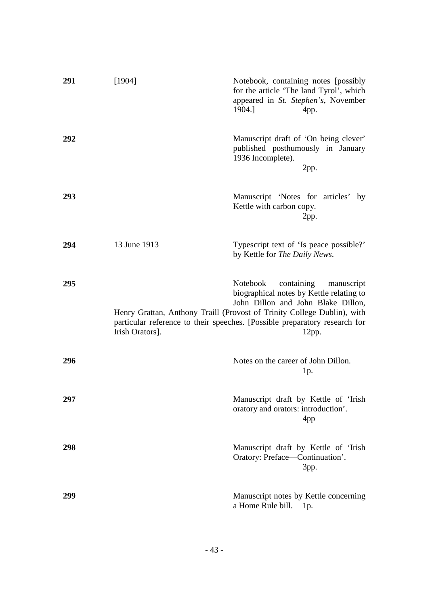| 291 | [1904]          | Notebook, containing notes [possibly]<br>for the article 'The land Tyrol', which<br>appeared in St. Stephen's, November<br>1904.]<br>4pp.                                                                                                                                                       |
|-----|-----------------|-------------------------------------------------------------------------------------------------------------------------------------------------------------------------------------------------------------------------------------------------------------------------------------------------|
| 292 |                 | Manuscript draft of 'On being clever'<br>published posthumously in January<br>1936 Incomplete).<br>2pp.                                                                                                                                                                                         |
| 293 |                 | Manuscript 'Notes for articles' by<br>Kettle with carbon copy.<br>2pp.                                                                                                                                                                                                                          |
| 294 | 13 June 1913    | Typescript text of 'Is peace possible?'<br>by Kettle for The Daily News.                                                                                                                                                                                                                        |
| 295 | Irish Orators]. | containing<br><b>Notebook</b><br>manuscript<br>biographical notes by Kettle relating to<br>John Dillon and John Blake Dillon,<br>Henry Grattan, Anthony Traill (Provost of Trinity College Dublin), with<br>particular reference to their speeches. [Possible preparatory research for<br>12pp. |
| 296 |                 | Notes on the career of John Dillon.<br>1p.                                                                                                                                                                                                                                                      |
| 297 |                 | Manuscript draft by Kettle of 'Irish<br>oratory and orators: introduction'.<br>4pp                                                                                                                                                                                                              |
| 298 |                 | Manuscript draft by Kettle of 'Irish<br>Oratory: Preface—Continuation'.<br>3pp.                                                                                                                                                                                                                 |
| 299 |                 | Manuscript notes by Kettle concerning<br>a Home Rule bill.<br>1p.                                                                                                                                                                                                                               |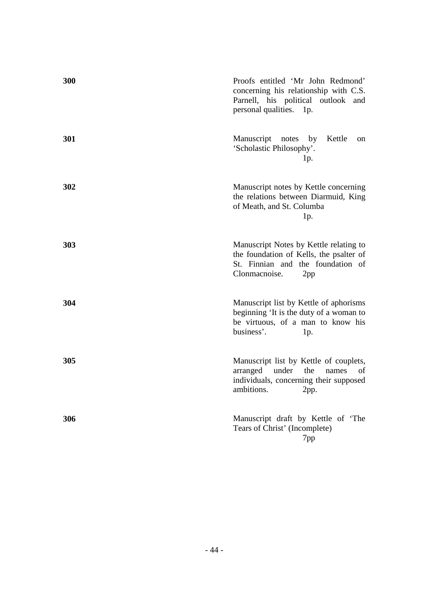| 300 | Proofs entitled 'Mr John Redmond'<br>concerning his relationship with C.S.<br>Parnell, his political outlook<br>and<br>personal qualities. 1p.            |
|-----|-----------------------------------------------------------------------------------------------------------------------------------------------------------|
| 301 | Manuscript<br>Kettle<br>notes<br>by<br>on<br>'Scholastic Philosophy'.<br>1p.                                                                              |
| 302 | Manuscript notes by Kettle concerning<br>the relations between Diarmuid, King<br>of Meath, and St. Columba<br>1p.                                         |
| 303 | Manuscript Notes by Kettle relating to<br>the foundation of Kells, the psalter of<br>St. Finnian and the foundation of<br>Clonmacnoise.<br>2pp            |
| 304 | Manuscript list by Kettle of aphorisms<br>beginning 'It is the duty of a woman to<br>be virtuous, of a man to know his<br>business'.<br>1p.               |
| 305 | Manuscript list by Kettle of couplets,<br>arranged under<br>the<br>names<br><sub>of</sub><br>individuals, concerning their supposed<br>ambitions.<br>2pp. |
| 306 | Manuscript draft by Kettle of 'The<br>Tears of Christ' (Incomplete)<br>7pp                                                                                |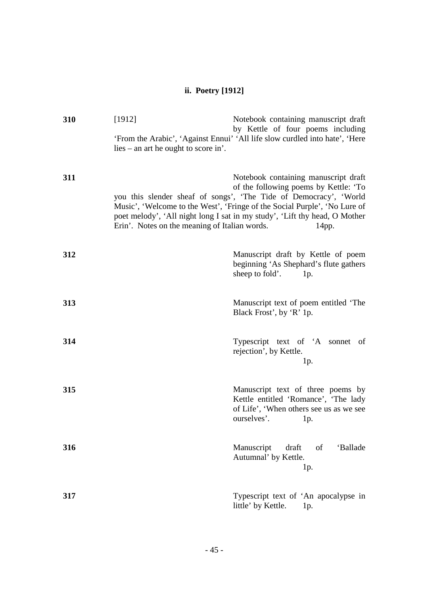## **ii. Poetry [1912]**

| 310 | [1912]                                        | Notebook containing manuscript draft<br>by Kettle of four poems including                                                                                                                                                                                                                                              |
|-----|-----------------------------------------------|------------------------------------------------------------------------------------------------------------------------------------------------------------------------------------------------------------------------------------------------------------------------------------------------------------------------|
|     | $lies - an$ and he ought to score in.         | 'From the Arabic', 'Against Ennui' 'All life slow curdled into hate', 'Here                                                                                                                                                                                                                                            |
| 311 | Erin'. Notes on the meaning of Italian words. | Notebook containing manuscript draft<br>of the following poems by Kettle: 'To<br>you this slender sheaf of songs', 'The Tide of Democracy', 'World<br>Music', 'Welcome to the West', 'Fringe of the Social Purple', 'No Lure of<br>poet melody', 'All night long I sat in my study', 'Lift thy head, O Mother<br>14pp. |
| 312 |                                               | Manuscript draft by Kettle of poem<br>beginning 'As Shephard's flute gathers<br>sheep to fold'.<br>1p.                                                                                                                                                                                                                 |
| 313 |                                               | Manuscript text of poem entitled 'The<br>Black Frost', by 'R' 1p.                                                                                                                                                                                                                                                      |
| 314 |                                               | Typescript text of 'A sonnet of<br>rejection', by Kettle.<br>1p.                                                                                                                                                                                                                                                       |
| 315 |                                               | Manuscript text of three poems by<br>Kettle entitled 'Romance', 'The lady<br>of Life', 'When others see us as we see<br>ourselves'.<br>1p.                                                                                                                                                                             |
| 316 |                                               | Manuscript<br>draft<br>of<br>'Ballade<br>Autumnal' by Kettle.<br>1p.                                                                                                                                                                                                                                                   |
| 317 |                                               | Typescript text of 'An apocalypse in<br>little' by Kettle.<br>1p.                                                                                                                                                                                                                                                      |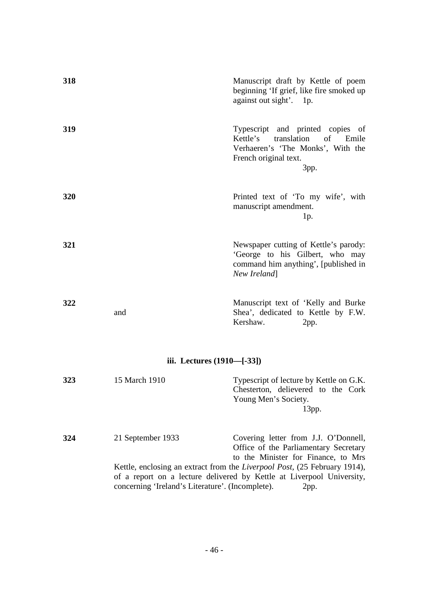| 318 |                                                                       | Manuscript draft by Kettle of poem<br>beginning 'If grief, like fire smoked up<br>against out sight'. 1p.                                                                                                                                                                                  |
|-----|-----------------------------------------------------------------------|--------------------------------------------------------------------------------------------------------------------------------------------------------------------------------------------------------------------------------------------------------------------------------------------|
| 319 |                                                                       | Typescript and printed copies of<br>translation<br>Kettle's<br>of<br>Emile<br>Verhaeren's 'The Monks', With the<br>French original text.<br>3pp.                                                                                                                                           |
| 320 |                                                                       | Printed text of 'To my wife', with<br>manuscript amendment.<br>1p.                                                                                                                                                                                                                         |
| 321 |                                                                       | Newspaper cutting of Kettle's parody:<br>'George to his Gilbert, who may<br>command him anything', [published in<br>New Ireland]                                                                                                                                                           |
| 322 | and                                                                   | Manuscript text of 'Kelly and Burke<br>Shea', dedicated to Kettle by F.W.<br>Kershaw.<br>2pp.                                                                                                                                                                                              |
|     | iii. Lectures (1910—[-33])                                            |                                                                                                                                                                                                                                                                                            |
| 323 | 15 March 1910                                                         | Typescript of lecture by Kettle on G.K.<br>Chesterton, delievered to the Cork<br>Young Men's Society.<br>13pp.                                                                                                                                                                             |
| 324 | 21 September 1933<br>concerning 'Ireland's Literature'. (Incomplete). | Covering letter from J.J. O'Donnell,<br>Office of the Parliamentary Secretary<br>to the Minister for Finance, to Mrs<br>Kettle, enclosing an extract from the <i>Liverpool Post</i> , (25 February 1914),<br>of a report on a lecture delivered by Kettle at Liverpool University,<br>2pp. |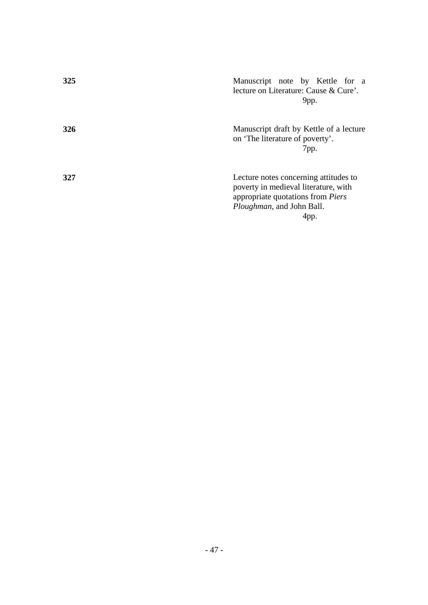| 325 | Manuscript note by Kettle for a<br>lecture on Literature: Cause & Cure'.<br>9pp.                                                                                       |
|-----|------------------------------------------------------------------------------------------------------------------------------------------------------------------------|
| 326 | Manuscript draft by Kettle of a lecture<br>on 'The literature of poverty'.<br>7pp.                                                                                     |
| 327 | Lecture notes concerning attitudes to<br>poverty in medieval literature, with<br>appropriate quotations from <i>Piers</i><br><i>Ploughman</i> , and John Ball.<br>4pp. |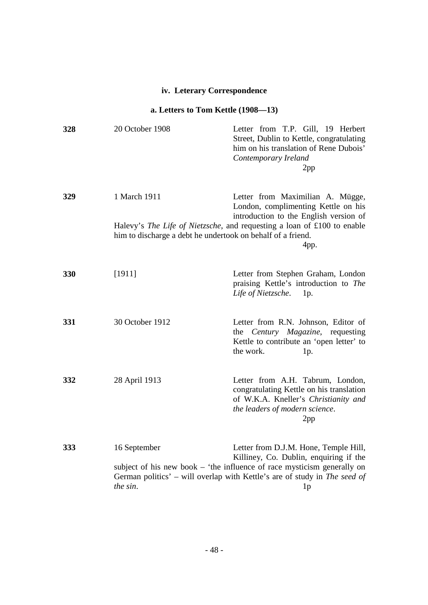### **iv. Leterary Correspondence**

## **a. Letters to Tom Kettle (1908—13)**

| 328 | 20 October 1908                                             | Letter from T.P. Gill, 19 Herbert<br>Street, Dublin to Kettle, congratulating<br>him on his translation of Rene Dubois'<br>Contemporary Ireland<br>2pp                                                                                                    |
|-----|-------------------------------------------------------------|-----------------------------------------------------------------------------------------------------------------------------------------------------------------------------------------------------------------------------------------------------------|
| 329 | 1 March 1911                                                | Letter from Maximilian A. Mügge,<br>London, complimenting Kettle on his<br>introduction to the English version of                                                                                                                                         |
|     | him to discharge a debt he undertook on behalf of a friend. | Halevy's The Life of Nietzsche, and requesting a loan of £100 to enable<br>4pp.                                                                                                                                                                           |
| 330 | [1911]                                                      | Letter from Stephen Graham, London<br>praising Kettle's introduction to The<br>Life of Nietzsche.<br>1p.                                                                                                                                                  |
| 331 | 30 October 1912                                             | Letter from R.N. Johnson, Editor of<br>Century Magazine, requesting<br>the<br>Kettle to contribute an 'open letter' to<br>the work.<br>1p.                                                                                                                |
| 332 | 28 April 1913                                               | Letter from A.H. Tabrum, London,<br>congratulating Kettle on his translation<br>of W.K.A. Kneller's Christianity and<br>the leaders of modern science.<br>2pp                                                                                             |
| 333 | 16 September<br>the sin.                                    | Letter from D.J.M. Hone, Temple Hill,<br>Killiney, Co. Dublin, enquiring if the<br>subject of his new book - 'the influence of race mysticism generally on<br>German politics' - will overlap with Kettle's are of study in The seed of<br>1 <sub>p</sub> |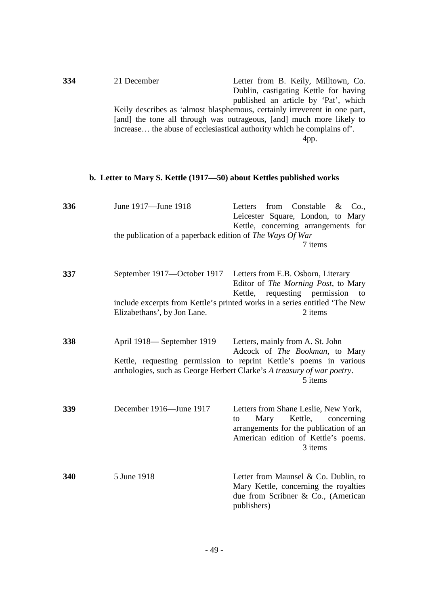| 334 | 21 December | Letter from B. Keily, Milltown, Co.                                       |
|-----|-------------|---------------------------------------------------------------------------|
|     |             | Dublin, castigating Kettle for having                                     |
|     |             | published an article by 'Pat', which                                      |
|     |             | Keily describes as 'almost blasphemous, certainly irreverent in one part, |
|     |             | [and] the tone all through was outrageous, [and] much more likely to      |
|     |             | increase the abuse of ecclesiastical authority which he complains of.     |
|     |             | 4pp.                                                                      |
|     |             |                                                                           |

## **b. Letter to Mary S. Kettle (1917—50) about Kettles published works**

| 336 | June 1917—June 1918<br>the publication of a paperback edition of The Ways Of War | Constable<br>from<br>Letters<br>&<br>Co.,<br>Leicester Square, London, to Mary<br>Kettle, concerning arrangements for<br>7 items                                                                                              |
|-----|----------------------------------------------------------------------------------|-------------------------------------------------------------------------------------------------------------------------------------------------------------------------------------------------------------------------------|
| 337 | September 1917—October 1917                                                      | Letters from E.B. Osborn, Literary<br>Editor of The Morning Post, to Mary<br>Kettle,<br>requesting<br>permission<br>to                                                                                                        |
|     | Elizabethans', by Jon Lane.                                                      | include excerpts from Kettle's printed works in a series entitled 'The New<br>2 items                                                                                                                                         |
| 338 | April 1918—September 1919                                                        | Letters, mainly from A. St. John<br>Adcock of The Bookman, to Mary<br>Kettle, requesting permission to reprint Kettle's poems in various<br>anthologies, such as George Herbert Clarke's A treasury of war poetry.<br>5 items |
| 339 | December 1916-June 1917                                                          | Letters from Shane Leslie, New York,<br>Mary<br>Kettle,<br>concerning<br>to<br>arrangements for the publication of an<br>American edition of Kettle's poems.<br>3 items                                                       |
| 340 | 5 June 1918                                                                      | Letter from Maunsel & Co. Dublin, to<br>Mary Kettle, concerning the royalties<br>due from Scribner & Co., (American<br>publishers)                                                                                            |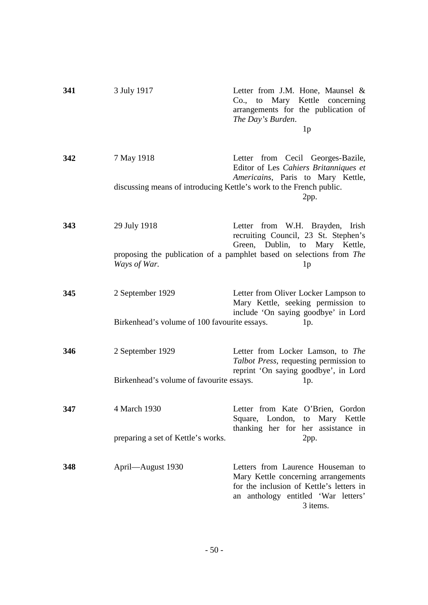| 341 | 3 July 1917                                                      | Letter from J.M. Hone, Maunsel &<br>Co., to Mary Kettle concerning<br>arrangements for the publication of<br>The Day's Burden.<br>1 <sub>p</sub>                                                    |
|-----|------------------------------------------------------------------|-----------------------------------------------------------------------------------------------------------------------------------------------------------------------------------------------------|
| 342 | 7 May 1918                                                       | Letter from Cecil Georges-Bazile,<br>Editor of Les Cahiers Britanniques et<br>Americains, Paris to Mary Kettle,<br>discussing means of introducing Kettle's work to the French public.<br>2pp.      |
| 343 | 29 July 1918<br>Ways of War.                                     | Letter from W.H. Brayden, Irish<br>recruiting Council, 23 St. Stephen's<br>Green, Dublin, to Mary Kettle,<br>proposing the publication of a pamphlet based on selections from The<br>1 <sub>p</sub> |
| 345 | 2 September 1929<br>Birkenhead's volume of 100 favourite essays. | Letter from Oliver Locker Lampson to<br>Mary Kettle, seeking permission to<br>include 'On saying goodbye' in Lord<br>1p.                                                                            |
| 346 | 2 September 1929<br>Birkenhead's volume of favourite essays.     | Letter from Locker Lamson, to The<br>Talbot Press, requesting permission to<br>reprint 'On saying goodbye', in Lord<br>1p.                                                                          |
| 347 | 4 March 1930<br>preparing a set of Kettle's works.               | Letter from Kate O'Brien, Gordon<br>Square, London, to Mary Kettle<br>thanking her for her assistance in<br>2pp.                                                                                    |
| 348 | April—August 1930                                                | Letters from Laurence Houseman to<br>Mary Kettle concerning arrangements<br>for the inclusion of Kettle's letters in<br>an anthology entitled 'War letters'<br>3 items.                             |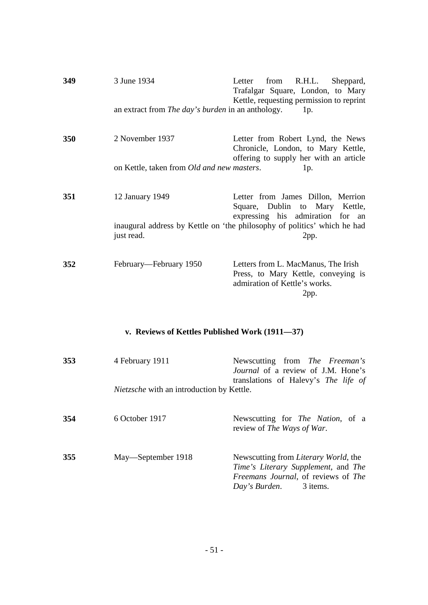| 349 | 3 June 1934                                              | from R.H.L.<br>Letter<br>Sheppard,<br>Trafalgar Square, London, to Mary<br>Kettle, requesting permission to reprint |
|-----|----------------------------------------------------------|---------------------------------------------------------------------------------------------------------------------|
|     | an extract from <i>The day's burden</i> in an anthology. | 1p.                                                                                                                 |
| 350 | 2 November 1937                                          | Letter from Robert Lynd, the News<br>Chronicle, London, to Mary Kettle,<br>offering to supply her with an article   |
|     | on Kettle, taken from <i>Old and new masters</i> .       | 1p.                                                                                                                 |
| 351 | 12 January 1949                                          | Letter from James Dillon, Merrion<br>Square, Dublin to Mary Kettle,<br>expressing his admiration for an             |
|     | just read.                                               | inaugural address by Kettle on 'the philosophy of politics' which he had<br>2pp.                                    |
| 352 | February—February 1950                                   | Letters from L. MacManus, The Irish<br>Press, to Mary Kettle, conveying is<br>admiration of Kettle's works.<br>2pp. |

## **v. Reviews of Kettles Published Work (1911—37)**

| 353 | 4 February 1911<br><i>Nietzsche</i> with an introduction by Kettle. | Newscutting from <i>The Freeman's</i><br>Journal of a review of J.M. Hone's<br>translations of Halevy's <i>The life of</i>                           |
|-----|---------------------------------------------------------------------|------------------------------------------------------------------------------------------------------------------------------------------------------|
| 354 | 6 October 1917                                                      | Newscutting for <i>The Nation</i> , of a<br>review of The Ways of War.                                                                               |
| 355 | May—September 1918                                                  | Newscutting from <i>Literary World</i> , the<br>Time's Literary Supplement, and The<br>Freemans Journal, of reviews of The<br>Day's Burden. 3 items. |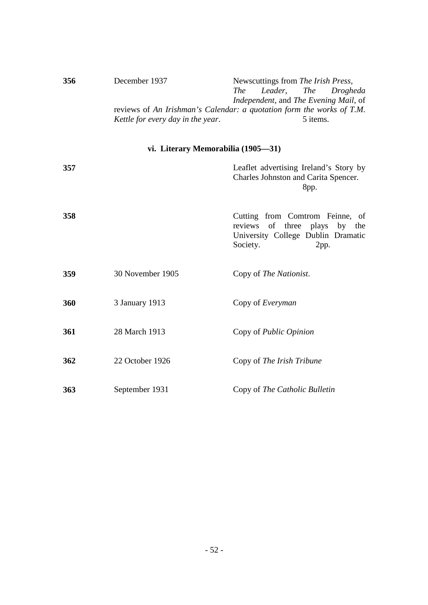| 356 | December 1937                     | Newscuttings from The Irish Press,                                    |
|-----|-----------------------------------|-----------------------------------------------------------------------|
|     |                                   | Leader, The Drogheda<br>The                                           |
|     |                                   | Independent, and The Evening Mail, of                                 |
|     |                                   | reviews of An Irishman's Calendar: a quotation form the works of T.M. |
|     | Kettle for every day in the year. | 5 items.                                                              |

## **vi. Literary Memorabilia (1905—31)**

| 357 |                  | Leaflet advertising Ireland's Story by<br>Charles Johnston and Carita Spencer.<br>8pp.                                        |
|-----|------------------|-------------------------------------------------------------------------------------------------------------------------------|
| 358 |                  | Cutting from Comtrom Feinne, of<br>of three plays by the<br>reviews<br>University College Dublin Dramatic<br>Society.<br>2pp. |
| 359 | 30 November 1905 | Copy of The Nationist.                                                                                                        |
| 360 | 3 January 1913   | Copy of <i>Everyman</i>                                                                                                       |
| 361 | 28 March 1913    | Copy of Public Opinion                                                                                                        |
| 362 | 22 October 1926  | Copy of The Irish Tribune                                                                                                     |
| 363 | September 1931   | Copy of The Catholic Bulletin                                                                                                 |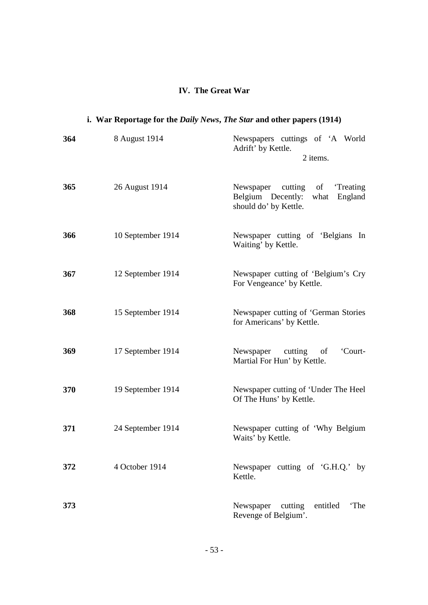### **IV. The Great War**

# **i. War Reportage for the** *Daily News***,** *The Star* **and other papers (1914)**

| 364 | 8 August 1914     | Newspapers cuttings of 'A World<br>Adrift' by Kettle.<br>2 items.                               |
|-----|-------------------|-------------------------------------------------------------------------------------------------|
| 365 | 26 August 1914    | Newspaper<br>cutting of<br>'Treating<br>Belgium Decently: what England<br>should do' by Kettle. |
| 366 | 10 September 1914 | Newspaper cutting of 'Belgians In<br>Waiting' by Kettle.                                        |
| 367 | 12 September 1914 | Newspaper cutting of 'Belgium's Cry<br>For Vengeance' by Kettle.                                |
| 368 | 15 September 1914 | Newspaper cutting of 'German Stories<br>for Americans' by Kettle.                               |
| 369 | 17 September 1914 | Newspaper<br>cutting of<br>'Court-<br>Martial For Hun' by Kettle.                               |
| 370 | 19 September 1914 | Newspaper cutting of 'Under The Heel<br>Of The Huns' by Kettle.                                 |
| 371 | 24 September 1914 | Newspaper cutting of 'Why Belgium<br>Waits' by Kettle.                                          |
| 372 | 4 October 1914    | Newspaper cutting of 'G.H.Q.' by<br>Kettle.                                                     |
| 373 |                   | Newspaper cutting<br>entitled<br>'The<br>Revenge of Belgium'.                                   |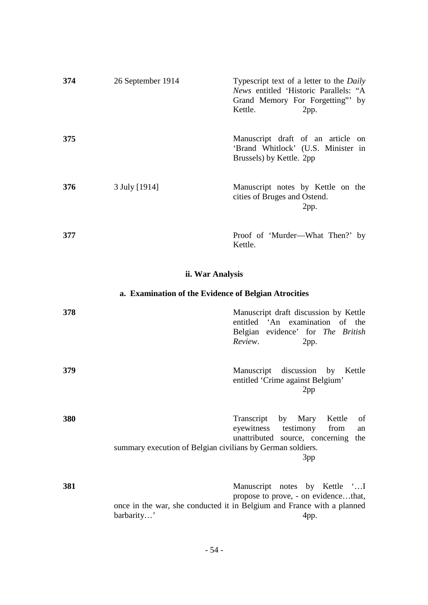| 374 | 26 September 1914 | Typescript text of a letter to the <i>Daily</i><br>News entitled 'Historic Parallels: "A<br>Grand Memory For Forgetting" by<br>Kettle.<br>2pp.                                                |
|-----|-------------------|-----------------------------------------------------------------------------------------------------------------------------------------------------------------------------------------------|
| 375 |                   | Manuscript draft of an article on<br>'Brand Whitlock' (U.S. Minister in<br>Brussels) by Kettle. 2pp                                                                                           |
| 376 | 3 July [1914]     | Manuscript notes by Kettle on the<br>cities of Bruges and Ostend.<br>2pp.                                                                                                                     |
| 377 |                   | Proof of 'Murder-What Then?' by<br>Kettle.                                                                                                                                                    |
|     |                   | ii. War Analysis                                                                                                                                                                              |
|     |                   | a. Examination of the Evidence of Belgian Atrocities                                                                                                                                          |
| 378 |                   | Manuscript draft discussion by Kettle<br>entitled 'An examination of the<br>Belgian evidence' for The British<br>Review.<br>2pp.                                                              |
| 379 |                   | Manuscript discussion by<br>Kettle<br>entitled 'Crime against Belgium'<br>2pp                                                                                                                 |
| 380 |                   | Transcript<br>by Mary<br>Kettle<br>of<br>eyewitness<br>testimony<br>from<br>an<br>unattributed source, concerning<br>the<br>summary execution of Belgian civilians by German soldiers.<br>3pp |

**381** Manuscript notes by Kettle '…I propose to prove, - on evidence…that, once in the war, she conducted it in Belgium and France with a planned barbarity…' 4pp.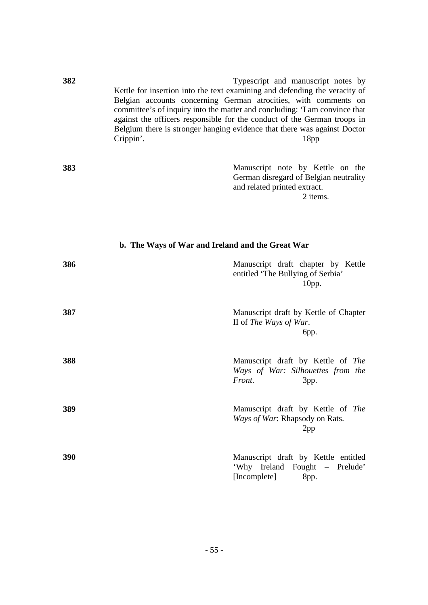| 382 | Typescript and manuscript notes by<br>Kettle for insertion into the text examining and defending the veracity of<br>Belgian accounts concerning German atrocities, with comments on<br>committee's of inquiry into the matter and concluding: 'I am convince that<br>against the officers responsible for the conduct of the German troops in<br>Belgium there is stronger hanging evidence that there was against Doctor<br>Crippin'.<br>18 <sub>pp</sub> |
|-----|------------------------------------------------------------------------------------------------------------------------------------------------------------------------------------------------------------------------------------------------------------------------------------------------------------------------------------------------------------------------------------------------------------------------------------------------------------|
| 383 | Manuscript note by Kettle on the<br>German disregard of Belgian neutrality<br>and related printed extract.<br>2 items.                                                                                                                                                                                                                                                                                                                                     |
|     | b. The Ways of War and Ireland and the Great War                                                                                                                                                                                                                                                                                                                                                                                                           |
| 386 | Manuscript draft chapter by Kettle<br>entitled 'The Bullying of Serbia'<br>$10$ pp.                                                                                                                                                                                                                                                                                                                                                                        |
| 387 | Manuscript draft by Kettle of Chapter<br>II of The Ways of War.<br>бpр.                                                                                                                                                                                                                                                                                                                                                                                    |
| 388 | Manuscript draft by Kettle of The<br>Ways of War: Silhouettes from the<br>Front.<br>3pp.                                                                                                                                                                                                                                                                                                                                                                   |
| 389 | Manuscript draft by Kettle of The<br>Ways of War: Rhapsody on Rats.<br>2pp                                                                                                                                                                                                                                                                                                                                                                                 |
| 390 | Manuscript draft by Kettle entitled<br>'Why Ireland Fought - Prelude'<br>[Incomplete]<br>8pp.                                                                                                                                                                                                                                                                                                                                                              |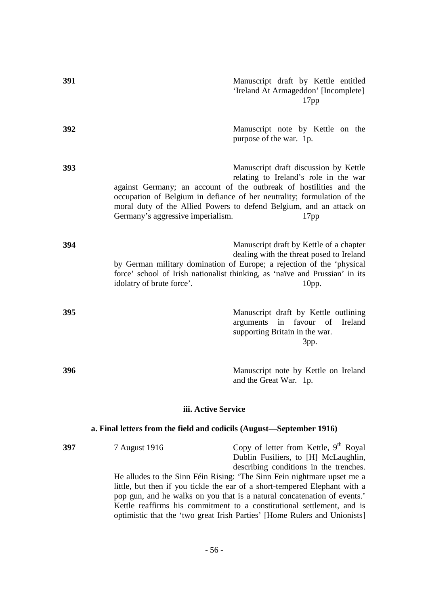| 391 | Manuscript draft by Kettle entitled<br>'Ireland At Armageddon' [Incomplete]<br>17pp                                                                                                                                                                                                                                                                                                                                                                                                                                                    |
|-----|----------------------------------------------------------------------------------------------------------------------------------------------------------------------------------------------------------------------------------------------------------------------------------------------------------------------------------------------------------------------------------------------------------------------------------------------------------------------------------------------------------------------------------------|
| 392 | Manuscript note by Kettle on the<br>purpose of the war. 1p.                                                                                                                                                                                                                                                                                                                                                                                                                                                                            |
| 393 | Manuscript draft discussion by Kettle<br>relating to Ireland's role in the war<br>against Germany; an account of the outbreak of hostilities and the<br>occupation of Belgium in defiance of her neutrality; formulation of the<br>moral duty of the Allied Powers to defend Belgium, and an attack on<br>Germany's aggressive imperialism.<br>17 <sub>pp</sub>                                                                                                                                                                        |
| 394 | Manuscript draft by Kettle of a chapter<br>dealing with the threat posed to Ireland<br>by German military domination of Europe; a rejection of the 'physical<br>force' school of Irish nationalist thinking, as 'naïve and Prussian' in its<br>idolatry of brute force'.<br>$10$ pp.                                                                                                                                                                                                                                                   |
| 395 | Manuscript draft by Kettle outlining<br>arguments in favour of Ireland<br>supporting Britain in the war.<br>3pp.                                                                                                                                                                                                                                                                                                                                                                                                                       |
| 396 | Manuscript note by Kettle on Ireland<br>and the Great War. 1p.                                                                                                                                                                                                                                                                                                                                                                                                                                                                         |
|     | iii. Active Service                                                                                                                                                                                                                                                                                                                                                                                                                                                                                                                    |
|     | a. Final letters from the field and codicils (August—September 1916)                                                                                                                                                                                                                                                                                                                                                                                                                                                                   |
| 397 | Copy of letter from Kettle, $9th$ Royal<br>7 August 1916<br>Dublin Fusiliers, to [H] McLaughlin,<br>describing conditions in the trenches.<br>He alludes to the Sinn Féin Rising: 'The Sinn Fein nightmare upset me a<br>little, but then if you tickle the ear of a short-tempered Elephant with a<br>pop gun, and he walks on you that is a natural concatenation of events.'<br>Kettle reaffirms his commitment to a constitutional settlement, and is<br>optimistic that the 'two great Irish Parties' [Home Rulers and Unionists] |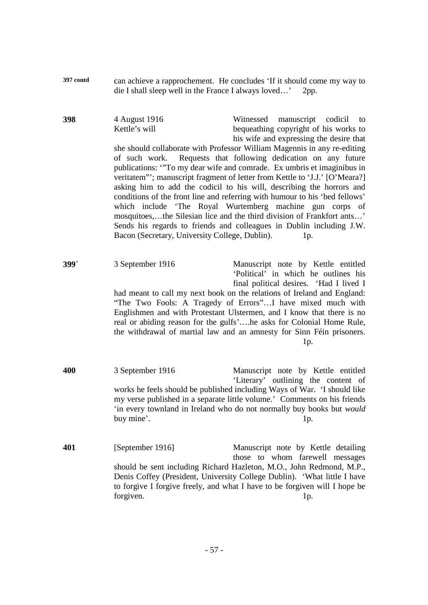| 397 contd | can achieve a rapprochement. He concludes 'If it should come my way to |  |
|-----------|------------------------------------------------------------------------|--|
|           | die I shall sleep well in the France I always loved' 2pp.              |  |

**398** 4 August 1916 Witnessed manuscript codicil to Kettle's will bequeathing copyright of his works to his wife and expressing the desire that she should collaborate with Professor William Magennis in any re-editing of such work. Requests that following dedication on any future publications: '"To my dear wife and comrade. Ex umbris et imaginibus in veritatem"'; manuscript fragment of letter from Kettle to 'J.J.' [O'Meara?] asking him to add the codicil to his will, describing the horrors and conditions of the front line and referring with humour to his 'bed fellows' which include 'The Royal Wurtemberg machine gun corps of mosquitoes,…the Silesian lice and the third division of Frankfort ants…' Sends his regards to friends and colleagues in Dublin including J.W. Bacon (Secretary, University College, Dublin). 1p.

**399`** 3 September 1916 Manuscript note by Kettle entitled 'Political' in which he outlines his final political desires. 'Had I lived I had meant to call my next book on the relations of Ireland and England: "The Two Fools: A Tragedy of Errors"…I have mixed much with Englishmen and with Protestant Ulstermen, and I know that there is no real or abiding reason for the gulfs'….he asks for Colonial Home Rule, the withdrawal of martial law and an amnesty for Sinn Féin prisoners. 1p.

- **400** 3 September 1916 Manuscript note by Kettle entitled 'Literary' outlining the content of works he feels should be published including Ways of War. 'I should like my verse published in a separate little volume.' Comments on his friends 'in every townland in Ireland who do not normally buy books but *would* buy mine'. 1p.
- **401** [September 1916] Manuscript note by Kettle detailing those to whom farewell messages should be sent including Richard Hazleton, M.O., John Redmond, M.P., Denis Coffey (President, University College Dublin). 'What little I have to forgive I forgive freely, and what I have to be forgiven will I hope be forgiven. 1p.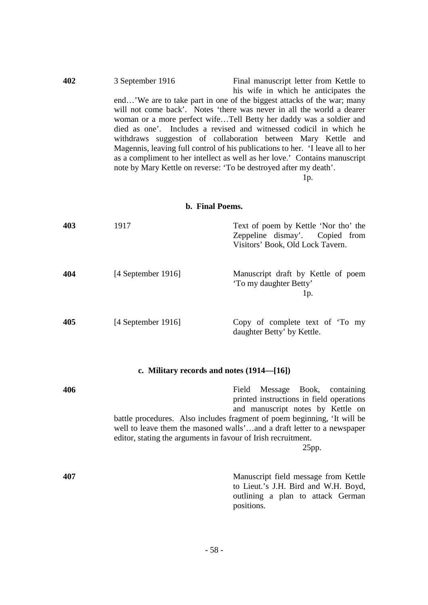| 402 | 3 September 1916 | Final manuscript letter from Kettle to                                         |
|-----|------------------|--------------------------------------------------------------------------------|
|     |                  | his wife in which he anticipates the                                           |
|     |                  | end'We are to take part in one of the biggest attacks of the war; many         |
|     |                  | will not come back'. Notes 'there was never in all the world a dearer          |
|     |                  | woman or a more perfect wifeTell Betty her daddy was a soldier and             |
|     |                  | died as one'. Includes a revised and witnessed codicil in which he             |
|     |                  | withdraws suggestion of collaboration between Mary Kettle and                  |
|     |                  | Magennis, leaving full control of his publications to her. 'I leave all to her |
|     |                  | as a compliment to her intellect as well as her love.' Contains manuscript     |
|     |                  | note by Mary Kettle on reverse: 'To be destroyed after my death'.              |
|     |                  | Ip.                                                                            |

### **b. Final Poems.**

| 403 | 1917                 | Text of poem by Kettle 'Nor tho' the<br>Zeppeline dismay'. Copied from<br>Visitors' Book, Old Lock Tavern. |
|-----|----------------------|------------------------------------------------------------------------------------------------------------|
| 404 | [4 September 1916]   | Manuscript draft by Kettle of poem<br>'To my daughter Betty'<br>lp.                                        |
| 405 | $[4$ September 1916] | Copy of complete text of 'To my<br>daughter Betty' by Kettle.                                              |

# **c. Military records and notes (1914—[16])**

| 406 | Field Message Book, containing<br>printed instructions in field operations<br>and manuscript notes by Kettle on<br>battle procedures. Also includes fragment of poem beginning, 'It will be<br>well to leave them the masoned walls'and a draft letter to a newspaper<br>editor, stating the arguments in favour of Irish recruitment.<br>25pp. |
|-----|-------------------------------------------------------------------------------------------------------------------------------------------------------------------------------------------------------------------------------------------------------------------------------------------------------------------------------------------------|
| 407 | Manuscript field message from Kettle<br>to Lieut.'s J.H. Bird and W.H. Boyd,<br>outlining a plan to attack German<br>positions.                                                                                                                                                                                                                 |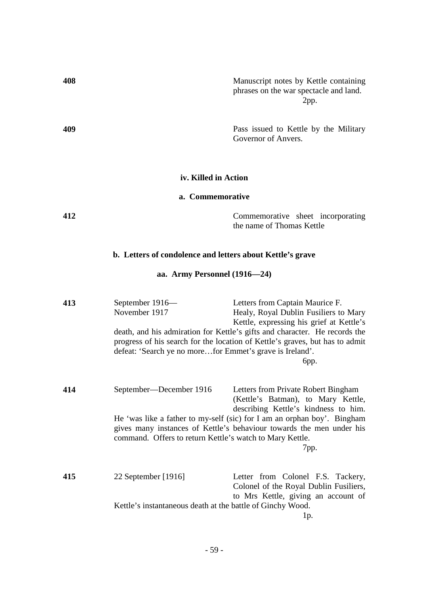| 408 |                                                                                              | Manuscript notes by Kettle containing<br>phrases on the war spectacle and land.<br>2pp.                                                                                                                                                                                                    |
|-----|----------------------------------------------------------------------------------------------|--------------------------------------------------------------------------------------------------------------------------------------------------------------------------------------------------------------------------------------------------------------------------------------------|
| 409 |                                                                                              | Pass issued to Kettle by the Military<br>Governor of Anvers.                                                                                                                                                                                                                               |
|     | iv. Killed in Action                                                                         |                                                                                                                                                                                                                                                                                            |
|     | a. Commemorative                                                                             |                                                                                                                                                                                                                                                                                            |
| 412 |                                                                                              | Commemorative sheet incorporating<br>the name of Thomas Kettle                                                                                                                                                                                                                             |
|     | b. Letters of condolence and letters about Kettle's grave                                    |                                                                                                                                                                                                                                                                                            |
|     | aa. Army Personnel (1916–24)                                                                 |                                                                                                                                                                                                                                                                                            |
| 413 | September 1916-<br>November 1917<br>defeat: 'Search ye no morefor Emmet's grave is Ireland'. | Letters from Captain Maurice F.<br>Healy, Royal Dublin Fusiliers to Mary<br>Kettle, expressing his grief at Kettle's<br>death, and his admiration for Kettle's gifts and character. He records the<br>progress of his search for the location of Kettle's graves, but has to admit<br>бpр. |
| 414 | September—December 1916<br>command. Offers to return Kettle's watch to Mary Kettle.          | Letters from Private Robert Bingham<br>(Kettle's Batman), to Mary Kettle,<br>describing Kettle's kindness to him.<br>He 'was like a father to my-self (sic) for I am an orphan boy'. Bingham<br>gives many instances of Kettle's behaviour towards the men under his<br>7pp.               |
| 415 | 22 September [1916]<br>Kettle's instantaneous death at the battle of Ginchy Wood.            | Letter from Colonel F.S. Tackery,<br>Colonel of the Royal Dublin Fusiliers,<br>to Mrs Kettle, giving an account of                                                                                                                                                                         |
|     |                                                                                              | 1p.                                                                                                                                                                                                                                                                                        |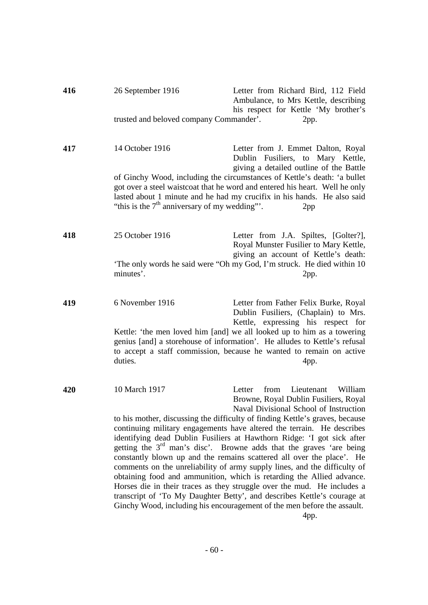| 416 | 26 September 1916                               | Letter from Richard Bird, 112 Field<br>Ambulance, to Mrs Kettle, describing<br>his respect for Kettle 'My brother's                                                                                                                                                                                                                                                                                                                                                                                                                                                                                                                                                                            |
|-----|-------------------------------------------------|------------------------------------------------------------------------------------------------------------------------------------------------------------------------------------------------------------------------------------------------------------------------------------------------------------------------------------------------------------------------------------------------------------------------------------------------------------------------------------------------------------------------------------------------------------------------------------------------------------------------------------------------------------------------------------------------|
|     | trusted and beloved company Commander'.         | 2pp.                                                                                                                                                                                                                                                                                                                                                                                                                                                                                                                                                                                                                                                                                           |
| 417 | 14 October 1916                                 | Letter from J. Emmet Dalton, Royal<br>Dublin Fusiliers, to Mary Kettle,<br>giving a detailed outline of the Battle                                                                                                                                                                                                                                                                                                                                                                                                                                                                                                                                                                             |
|     | "this is the $7th$ anniversary of my wedding"". | of Ginchy Wood, including the circumstances of Kettle's death: 'a bullet<br>got over a steel waistcoat that he word and entered his heart. Well he only<br>lasted about 1 minute and he had my crucifix in his hands. He also said<br>2pp                                                                                                                                                                                                                                                                                                                                                                                                                                                      |
| 418 | 25 October 1916                                 | Letter from J.A. Spiltes, [Golter?],<br>Royal Munster Fusilier to Mary Kettle,<br>giving an account of Kettle's death:                                                                                                                                                                                                                                                                                                                                                                                                                                                                                                                                                                         |
|     | minutes'.                                       | 'The only words he said were "Oh my God, I'm struck. He died within 10<br>2pp.                                                                                                                                                                                                                                                                                                                                                                                                                                                                                                                                                                                                                 |
| 419 | 6 November 1916                                 | Letter from Father Felix Burke, Royal<br>Dublin Fusiliers, (Chaplain) to Mrs.<br>Kettle, expressing his respect for                                                                                                                                                                                                                                                                                                                                                                                                                                                                                                                                                                            |
|     | duties.                                         | Kettle: 'the men loved him [and] we all looked up to him as a towering<br>genius [and] a storehouse of information'. He alludes to Kettle's refusal<br>to accept a staff commission, because he wanted to remain on active<br>4pp.                                                                                                                                                                                                                                                                                                                                                                                                                                                             |
| 420 | 10 March 1917                                   | William<br>from<br>Lieutenant<br>Letter<br>Browne, Royal Dublin Fusiliers, Royal<br>Naval Divisional School of Instruction                                                                                                                                                                                                                                                                                                                                                                                                                                                                                                                                                                     |
|     |                                                 | to his mother, discussing the difficulty of finding Kettle's graves, because<br>continuing military engagements have altered the terrain. He describes<br>identifying dead Dublin Fusiliers at Hawthorn Ridge: 'I got sick after<br>getting the $3rd$ man's disc'. Browne adds that the graves 'are being<br>constantly blown up and the remains scattered all over the place'. He<br>comments on the unreliability of army supply lines, and the difficulty of<br>obtaining food and ammunition, which is retarding the Allied advance.<br>Horses die in their traces as they struggle over the mud. He includes a<br>transcript of 'To My Daughter Betty', and describes Kettle's courage at |
|     |                                                 | Ginchy Wood, including his encouragement of the men before the assault.<br>4pp.                                                                                                                                                                                                                                                                                                                                                                                                                                                                                                                                                                                                                |